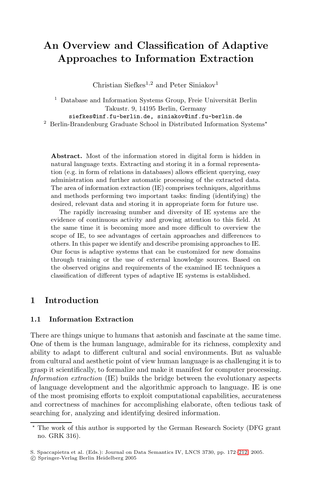# **An Overview and Classification of Adaptive Approaches to Information Extraction**

Christian Siefkes<sup>1,2</sup> and Peter Siniakov<sup>1</sup>

 $1$  Database and Information Systems Group, Freie Universität Berlin Takustr. 9, 14195 Berlin, Germany siefkes@inf.fu-berlin.de, siniakov@inf.fu-berlin.de  $^2\,$  Berlin-Brandenburg Graduate School in Distributed Information Systems\*

**Abstract.** Most of the information stored in digital form is hidden in natural language texts. Extracting and storing it in a formal representation (e.g. in form of relations in databases) allows efficient querying, easy administration and further automatic processing of the extracted data. The area of information extraction (IE) comprises techniques, algorithms and methods performing two important tasks: finding (identifying) the desired, relevant data and storing it in appropriate form for future use.

The rapidly increasing number and diversity of IE systems are the evidence of continuous activity and growing attention to this field. At the same time it is becoming more and more difficult to overview the scope of IE, to see advantages of certain approaches and differences to others. In this paper we identify and describe promising approaches to IE. Our focus is adaptive systems that can be customized for new domains through training or the use of external knowledge sources. Based on the observed origins and requirements of the examined IE techniques a classification of different types of adaptive IE systems is established.

# **1 Introduction**

# **1.1 Information Extraction**

There are things unique to humans that astonish and fascinate at the same time. One of them is the human language, admirable for its richness, complexity and ability to adapt to different cultural and social environments. But as valuable from cultural and aesthetic point of view human language is as challenging it is to grasp it scientifically, to formalize and make it manifest for computer processing. *Information extraction* (IE) builds the bridge between the evolutionary aspects of language development and the algorithmic [app](#page-37-0)roach to language. IE is one of the most promising efforts to exploit computational capabilities, accurateness and correctness of machines for accomplishing elaborate, often tedious task of searching for, analyzing and identifying desired information.

The work of this author is supported by the German Research Society (DFG grant no. GRK 316).

S. Spaccapietra et al. (Eds.): Journal on Data Semantics IV, LNCS 3730, pp. 172–212, 2005.

c Springer-Verlag Berlin Heidelberg 2005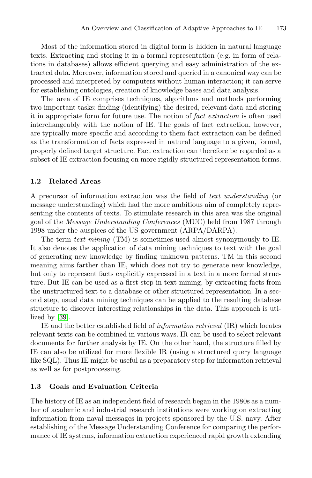Most of the information stored in digital form is hidden in natural language texts. Extracting and storing it in a formal representation (e.g. in form of relations in databases) allows efficient querying and easy administration of the extracted data. Moreover, information stored and queried in a canonical way can be processed and interpreted by computers without human interaction; it can serve for establishing ontologies, creation of knowledge bases and data analysis.

The area of IE comprises techniques, algorithms and methods performing two important tasks: finding (identifying) the desired, relevant data and storing it in appropriate form for future use. The notion of *fact extraction* is often used interchangeably with the notion of IE. The goals of fact extraction, however, are typically more specific and according to them fact extraction can be defined as the transformation of facts expressed in natural language to a given, formal, properly defined target structure. Fact extraction can therefore be regarded as a subset of IE extraction focusing on more rigidly structured representation forms.

# **1.2 Related Areas**

A precursor of information extraction was the field of *text understanding* (or message understanding) which had the more ambitious aim of completely representing the contents of texts. To stimulate research in this area was the original goal of the *Message Understanding Conferences* (MUC) held from 1987 through 1998 under the auspices of the US government (ARPA/DARPA).

The term *text mining* (TM) is sometimes used almost synonymously to IE. It also denotes the application of data mining techniques to text with the goal of generating new knowledge by finding unknown patterns. TM in this second meaning aims farther than IE, which does not try to generate new knowledge, but only to represent facts explicitly expressed in a text in a more formal structure. But IE can be used as a first step in text mining, by extracting facts from the unstructured text to a database or other structured representation. In a second step, usual data mining techniques can be applied to the resulting database structure to discover interesting relationships in the data. This approach is utilized by [39].

IE and the better established field of *information retrieval* (IR) which locates relevant texts can be combined in various ways. IR can be used to select relevant documents for further analysis by IE. On the other hand, the structure filled by IE can also be utilized for more flexible IR (using a structured query language like SQL). Thus IE might be useful as a preparatory step for information retrieval as well as for postprocessing.

# **1.3 Goals and Evaluation Criteria**

The history of IE as an independent field of research began in the 1980s as a number of academic and industrial research institutions were working on extracting information from naval messages in projects sponsored by the U.S. navy. After establishing of the Message Understanding Conference for comparing the performance of IE systems, information extraction experienced rapid growth extending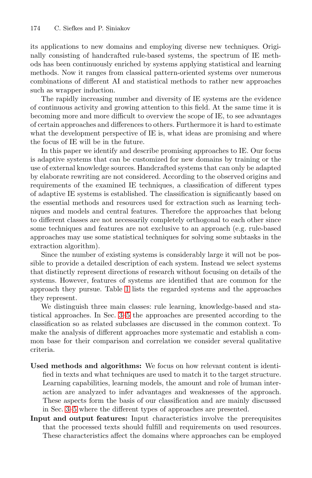its applications to new domains and employing diverse new techniques. Originally consisting of handcrafted rule-based systems, the spectrum of IE methods has been continuously enriched by systems applying statistical and learning methods. Now it ranges from classical pattern-oriented systems over numerous combinations of different AI and statistical methods to rather new approaches such as wrapper induction.

The rapidly increasing number and diversity of IE systems are the evidence of continuous activity and growing attention to this field. At the same time it is becoming more and more difficult to overview the scope of IE, to see advantages of certain approaches and differences to others. Furthermore it is hard to estimate what the development perspective of IE is, what ideas are promising and where the focus of IE will be in the future.

In this paper we identify and describe promising approaches to IE. Our focus is adaptive systems that can be customized for new domains by training or the use of external knowledge sources. Handcrafted systems that can only be adapted by elaborate rewriting are not considered. According to the observed origins and requirements of the examined IE techniques, a classification of different types of adaptive IE systems is established. The classification is significantly based on the essential methods and resources used for extraction such as learning techniques and models and central features. Therefore the approaches that belong to different classes are not necessarily completely orthogonal to each other since some tech[niq](#page-3-0)ues and features are not exclusive to an approach (e.g. rule-based approaches may use some statistical techniques for solving some subtasks in the extraction algorithm).

Since [t](#page-7-0)[he](#page-22-0) number of existing systems is considerably large it will not be possible to provide a detailed description of each system. Instead we select systems that distinctly represent directions of research without focusing on details of the systems. However, features of systems are identified that are common for the approach they pursue. Table 1 lists the regarded systems and the approaches they represent.

We distinguish three main classes: rule learning, knowledge-based and statistical approaches. In Sec. 3–5 the approaches are presented according to the classification so as related subclasses are discussed in the common context. To make the analysis of different approaches more systematic and establish a common base for their comparison and correlation we consider several qualitative criteria.

- **Used methods and algorithms:** We focus on how relevant content is identified in texts and what techniques are used to match it to the target structure. Learning capabilities, learning models, the amount and role of human interaction are analyzed to infer advantages and weaknesses of the approach. These aspects form the basis of our classification and are mainly discussed in Sec. 3–5 where the different types of approaches are presented.
- **Input and output features:** Input characteristics involve the prerequisites that the processed texts should fulfill and requirements on used resources. These characteristics affect the domains where approaches can be employed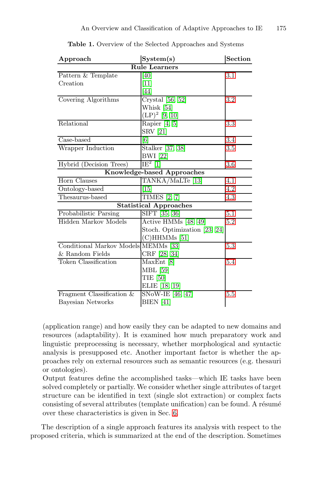| Approach                             | System(s)                     | Section          |  |  |  |  |
|--------------------------------------|-------------------------------|------------------|--|--|--|--|
| <b>Rule Learners</b>                 |                               |                  |  |  |  |  |
| Pattern & Template                   | [40]                          | 3.1              |  |  |  |  |
| Creation                             | $[11]$                        |                  |  |  |  |  |
|                                      | [44]                          |                  |  |  |  |  |
| Covering Algorithms                  | Crystal $[56, 52]$            | 3.2              |  |  |  |  |
|                                      | Whisk [54]                    |                  |  |  |  |  |
|                                      | $(LP)^2$ [9, 10]              |                  |  |  |  |  |
| Relational                           | Rapier $[4, 5]$               | 3.3              |  |  |  |  |
|                                      | SRV [21]                      |                  |  |  |  |  |
| Case-based                           | $\lceil 6 \rceil$             | $\overline{3.4}$ |  |  |  |  |
| Wrapper Induction                    | Stalker [37, 38]              | 3.5              |  |  |  |  |
|                                      | <b>BWI</b> [22]               |                  |  |  |  |  |
| Hybrid (Decision Trees)              | $IE^2$ [1]                    | $3.6\,$          |  |  |  |  |
| <b>Knowledge-based Approaches</b>    |                               |                  |  |  |  |  |
| Horn Clauses                         | TANKA/MaLTe [13]              | 4.1              |  |  |  |  |
| Ontology-based                       | [15]                          | 4.2              |  |  |  |  |
| Thesaurus-based                      | TIMES $[2, 7]$                | 4.3              |  |  |  |  |
|                                      | <b>Statistical Approaches</b> |                  |  |  |  |  |
| Probabilistic Parsing                | SIFT [35, 36]                 | 5.1              |  |  |  |  |
| Hidden Markov Models                 | Active HMMs [48, 49]          | $\overline{5.2}$ |  |  |  |  |
|                                      | Stoch. Optimization [23, 24]  |                  |  |  |  |  |
|                                      | $(C)$ HHMMs [51]              |                  |  |  |  |  |
| Conditional Markov Models MEMMs [33] |                               | 5.3              |  |  |  |  |
| & Random Fields                      | CRF [28, 34]                  |                  |  |  |  |  |
| Token Classification                 | MaxEnt [8]                    | 5.4              |  |  |  |  |
|                                      | <b>MBL</b> [59]               |                  |  |  |  |  |
|                                      | TIE [50]                      |                  |  |  |  |  |
|                                      | ELIE [18, 19]                 |                  |  |  |  |  |
| Fragment Classification $\&$         | $SNoW-IE$ [46, 47]            | 5.5              |  |  |  |  |
| Bayesian Networks                    | <b>BIEN</b> [41]              |                  |  |  |  |  |

<span id="page-3-0"></span>**Table 1.** O[verv](#page-40-0)iew of the Selected Approaches and Systems

(application range) and how easily they can be adapted to new domains and resources (adaptability). It is examined how much preparatory work and linguistic preprocessing is necessary, whether morphological and syntactic analysis is presuppos[ed](#page-29-0) etc. Another important factor is whether the approaches rely on external resources such as semantic resources (e.g. thesauri or ontologies).

Output features define the accomplished tasks—which IE tasks have been solved completely or partially. We consider whether single attributes of target structure can be identified in text (single slot extraction) or complex facts  $consisting of several attributes (template unification) can be found. A  $résumé$$ over these characteristics is given in Sec. 6.

The description of a single approach features its analysis with respect to the proposed criteria, which is summarized at the end of the description. Sometimes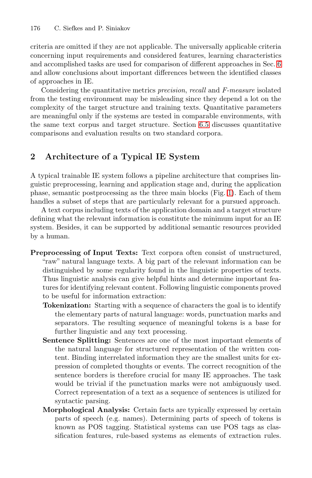criteria are omitted if they are not applicable. The universally applicable criteria concerning input requirements and considered features, learning characteristics and accomplished tasks are used f[or co](#page-32-0)mparison of different approaches in Sec. 6 and allow conclusions about important differences between the identified classes of approaches in IE.

Considering the quantitative metrics *precision*, *recall* and *F-measure* isolated from the testing environment may be misleading since they depend a lot on the complexity of the target structure and training texts. Quantitative parameters are meaningful only if the systems are tested in comparable environments, with the same text corpus and target structure. Section 6.5 discusses quantitative comparisons and evaluation results on two [st](#page-5-0)andard corpora.

# **2 Architecture of a Typical IE System**

A typical trainable IE system follows a pipeline architecture that comprises linguistic preprocessing, learning and application stage and, during the application phase, semantic postprocessing as the three main blocks (Fig. 1). Each of them handles a subset of steps that are particularly relevant for a pursued approach.

A text corpus including texts of the application domain and a target structure defining what the relevant information is constitute the minimum input for an IE system. Besides, it can be supported by additional semantic resources provided by a human.

- **Preprocessing of Input Texts:** Text corpora often consist of unstructured. "raw" natural language texts. A big part of the relevant information can be distinguished by some regularity found in the linguistic properties of texts. Thus linguistic analysis can give helpful hints and determine important features for identifying relevant content. Following linguistic components proved to be useful for information extraction:
	- **Tokenization:** Starting with a sequence of characters the goal is to identify the elementary parts of natural language: words, punctuation marks and separators. The resulting sequence of meaningful tokens is a base for further linguistic and any text processing.
	- **Sentence Splitting:** Sentences are one of the most important elements of the natural language for structured representation of the written content. Binding interrelated information they are the smallest units for expression of completed thoughts or events. The correct recognition of the sentence borders is therefore crucial for many IE approaches. The task would be trivial if the punctuation marks were not ambiguously used. Correct representation of a text as a sequence of sentences is utilized for syntactic parsing.
	- **Morphological Analysis:** Certain facts are typically expressed by certain parts of speech (e.g. names). Determining parts of speech of tokens is known as POS tagging. Statistical systems can use POS tags as classification features, rule-based systems as elements of extraction rules.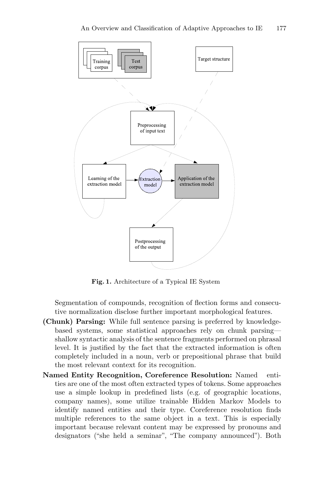

**Fig. 1.** Architecture of a Typical IE System

<span id="page-5-0"></span>Segmentation of compounds, recognition of flection forms and consecutive normalization disclose further important morphological features.

- **(Chunk) Parsing:** While full sentence parsing is preferred by knowledgebased systems, some statistical approaches rely on chunk parsing shallow syntactic analysis of the sentence fragments performed on phrasal level. It is justified by the fact that the extracted information is often completely included in a noun, verb or prepositional phrase that build the most relevant context for its recognition.
- **Named Entity Recognition, Coreference Resolution:** Named entities are one of the most often extracted types of tokens. Some approaches use a simple lookup in predefined lists (e.g. of geographic locations, company names), some utilize trainable Hidden Markov Models to identify named entities and their type. Coreference resolution finds multiple references to the same object in a text. This is especially important because relevant content may be expressed by pronouns and designators ("she held a seminar", "The company announced"). Both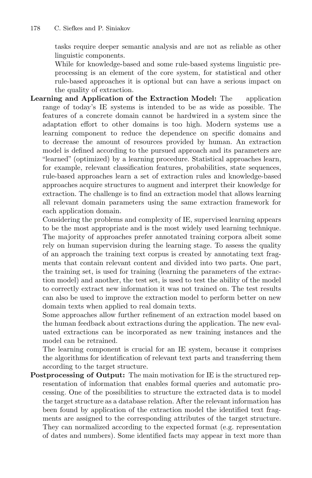tasks require deeper semantic analysis and are not as reliable as other linguistic components.

While for knowledge-based and some rule-based systems linguistic preprocessing is an element of the core system, for statistical and other rule-based approaches it is optional but can have a serious impact on the quality of extraction.

**Learning and Application of the Extraction Model:** The application range of today's IE systems is intended to be as wide as possible. The features of a concrete domain cannot be hardwired in a system since the adaptation effort to other domains is too high. Modern systems use a learning component to reduce the dependence on specific domains and to decrease the amount of resources provided by human. An extraction model is defined according to the pursued approach and its parameters are "learned" (optimized) by a learning procedure. Statistical approaches learn, for example, relevant classification features, probabilities, state sequences, rule-based approaches learn a set of extraction rules and knowledge-based approaches acquire structures to augment and interpret their knowledge for extraction. The challenge is to find an extraction model that allows learning all relevant domain parameters using the same extraction framework for each application domain.

Considering the problems and complexity of IE, supervised learning appears to be the most appropriate and is the most widely used learning technique. The majority of approaches prefer annotated training corpora albeit some rely on human supervision during the learning stage. To assess the quality of an approach the training text corpus is created by annotating text fragments that contain relevant content and divided into two parts. One part, the training set, is used for training (learning the parameters of the extraction model) and another, the test set, is used to test the ability of the model to correctly extract new information it was not trained on. The test results can also be used to improve the extraction model to perform better on new domain texts when applied to real domain texts.

Some approaches allow further refinement of an extraction model based on the human feedback about extractions during the application. The new evaluated extractions can be incorporated as new training instances and the model can be retrained.

The learning component is crucial for an IE system, because it comprises the algorithms for identification of relevant text parts and transferring them according to the target structure.

**Postprocessing of Output:** The main motivation for IE is the structured representation of information that enables formal queries and automatic processing. One of the possibilities to structure the extracted data is to model the target structure as a database relation. After the relevant information has been found by application of the extraction model the identified text fragments are assigned to the corresponding attributes of the target structure. They can normalized according to the expected format (e.g. representation of dates and numbers). Some identified facts may appear in text more than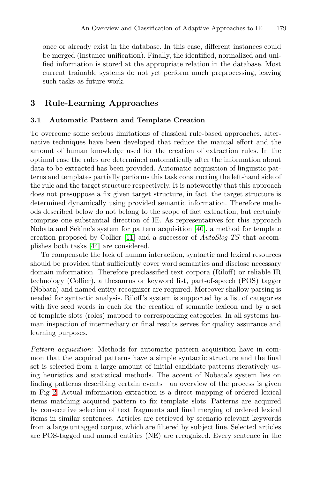<span id="page-7-0"></span>once or already exist in the database. In this case, different instances could be merged (instance unification). Finally, the identified, normalized and unified information is stored at the appropriate relation in the database. Most current trainable systems do not yet perform much preprocessing, leaving such tasks as future work.

# <span id="page-7-1"></span>**3 Rule-Learning Approaches**

# **3.1 Automatic Pattern and Template Creation**

To overcome some serious limitations of classical rule-based approaches, alternative techniques have been developed that reduce the manual effort and the amount of human knowledge used for the creation of extraction rules. In the optimal case the rules are determined automatically after the information about data to be extracted has been pr[ovid](#page-39-4)ed. Automatic acquisition of linguistic patterns and t[emp](#page-38-8)lates partially performs this task constructing the left-hand side of [the](#page-39-0) rule and the target structure respectively. It is noteworthy that this approach does not presuppose a fix given target structure, in fact, the target structure is determined dynamically using provided semantic information. Therefore methods described below do not belong to the scope of fact extraction, but certainly comprise one substantial direction of IE. As representatives for this approach Nobata and Sekine's system for pattern acquisition [40], a method for template creation proposed by Collier [11] and a successor of *AutoSlog-TS* that accomplishes both tasks [44] are considered.

To compensate the lack of human interaction, syntactic and lexical resources should be provided that sufficiently cover word semantics and disclose necessary domain information. Therefore preclassified text corpora (Riloff) or reliable IR technology (Collier), a thesaurus or keyword list, part-of-speech (POS) tagger (Nobata) and named entity recognizer are required. Moreover shallow parsing is needed for syntactic analysis. Riloff's system is supported by a list of categories with five seed words in each for the creation of semantic lexicon and by a set of template slots (roles) mapped to corresponding categories. In all systems human inspection of intermediary or final results serves for quality assurance and learning purposes.

*Pattern acquisition:* Methods for automatic pattern acquisition have in common that the acquired patterns have a simple syntactic structure and the final set is selected from a large amount of initial candidate patterns iteratively using heuristics and statistical methods. The accent of Nobata's system lies on finding patterns describing certain events—an overview of the process is given in Fig 2. Actual information extraction is a direct mapping of ordered lexical items matching acquired pattern to fix template slots. Patterns are acquired by consecutive selection of text fragments and final merging of ordered lexical items in similar sentences. Articles are retrieved by scenario relevant keywords from a large untagged corpus, which are filtered by subject line. Selected articles are POS-tagged and named entities (NE) are recognized. Every sentence in the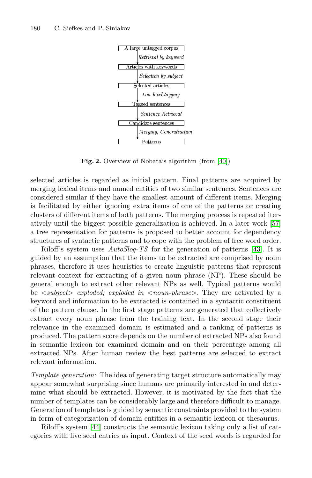

**Fig. 2.** Overview of Nobata's algorithm (fro[m \[4](#page-40-6)0])

selected articles is regarded as initial pattern. Final patterns are acquired by merging lexical items and named entities of two si[milar](#page-39-5) sentences. Sentences are considered similar if they have the smallest amount of different items. Merging is facilitated by either ignoring extra items of one of the patterns or creating clusters of different items of both patterns. The merging process is repeated iteratively until the biggest possible generalization is achieved. In a later work [57] a tree representation for patterns is proposed to better account for dependency structures of syntactic patterns and to cope with the problem of free word order.

Riloff's system uses *AutoSlog-TS* for the generation of patterns [43]. It is guided by an assumption that the items to be extracted are comprised by noun phrases, therefore it uses heuristics to create linguistic patterns that represent relevant context for extracting of a given noun phrase (NP). These should be general enough to extract other relevant NPs as well. Typical patterns would be <*subject*> *exploded; exploded in* <*noun-phrase*>. They are activated by a keyword and information to be extracted is contained in a syntactic constituent of the pattern clause. In the first stage patterns are generated that collectively extract every noun phrase from the training text. In the second stage their relevance in the examined domain is estimated and a ranking of patterns is produced. The pattern score depends on the number of extracted NPs also found in semantic lexicon for examined domain and on their percentage among all extracted NPs. After human review the best patterns are selected to extract [rele](#page-39-0)vant information.

*Template generation:* The idea of generating target structure automatically may appear somewhat surprising since humans are primarily interested in and determine what should be extracted. However, it is motivated by the fact that the number of templates can be considerably large and therefore difficult to manage. Generation of templates is guided by semantic constraints provided to the system in form of categorization of domain entities in a semantic lexicon or thesaurus.

Riloff's system [44] constructs the semantic lexicon taking only a list of categories with five seed entries as input. Context of the seed words is regarded for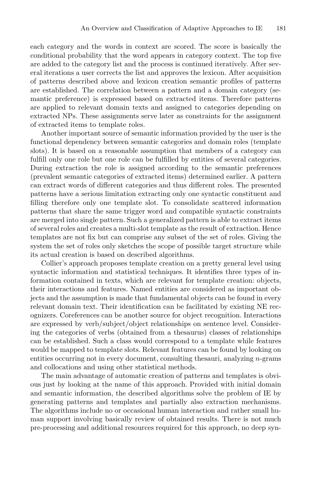each category and the words in context are scored. The score is basically the conditional probability that the word appears in category context. The top five are added to the category list and the process is continued iteratively. After several iterations a user corrects the list and approves the lexicon. After acquisition of patterns described above and lexicon creation semantic profiles of patterns are established. The correlation between a pattern and a domain category (semantic preference) is expressed based on extracted items. Therefore patterns are applied to relevant domain texts and assigned to categories depending on extracted NPs. These assignments serve later as constraints for the assignment of extracted items to template roles.

Another important source of semantic information provided by the user is the functional dependency between semantic categories and domain roles (template slots). It is based on a reasonable assumption that members of a category can fulfill only one role but one role can be fulfilled by entities of several categories. During extraction the role is assigned according to the semantic preferences (prevalent semantic categories of extracted items) determined earlier. A pattern can extract words of different categories and thus different roles. The presented patterns have a serious limitation extracting only one syntactic constituent and filling therefore only one template slot. To consolidate scattered information patterns that share the same trigger word and compatible syntactic constraints are merged into single pattern. Such a generalized pattern is able to extract items of several roles and creates a multi-slot template as the result of extraction. Hence templates are not fix but can comprise any subset of the set of roles. Giving the system the set of roles only sketches the scope of possible target structure while its actual creation is based on described algorithms.

Collier's approach proposes template creation on a pretty general level using syntactic information and statistical techniques. It identifies three types of information contained in texts, which are relevant for template creation: objects, their interactions and features. Named entities are considered as important objects and the assumption is made that fundamental objects can be found in every relevant domain text. Their identification can be facilitated by existing NE recognizers. Coreferences can be another source for object recognition. Interactions are expressed by verb/subject/object relationships on sentence level. Considering the categories of verbs (obtained from a thesaurus) classes of relationships can be established. Such a class would correspond to a template while features would be mapped to template slots. Relevant features can be found by looking on entities occurring not in every document, consulting thesauri, analyzing  $n$ -grams and collocations and using other statistical methods.

The main advantage of automatic creation of patterns and templates is obvious just by looking at the name of this approach. Provided with initial domain and semantic information, the described algorithms solve the problem of IE by generating patterns and templates and partially also extraction mechanisms. The algorithms include no or occasional human interaction and rather small human support involving basically review of obtained results. There is not much pre-processing and additional resources required for this approach, no deep syn-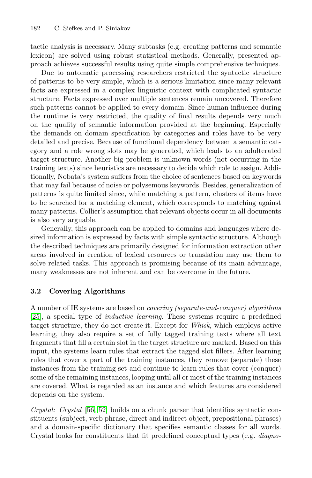tactic analysis is necessary. Many subtasks (e.g. creating patterns and semantic lexicon) are solved using robust statistical methods. Generally, presented approach achieves successful results using quite simple comprehensive techniques.

Due to automatic processing researchers restricted the syntactic structure of patterns to be very simple, which is a serious limitation since many relevant facts are expressed in a complex linguistic context with complicated syntactic structure. Facts expressed over multiple sentences remain uncovered. Therefore such patterns cannot be applied to every domain. Since human influence during the runtime is very restricted, the quality of final results depends very much on the quality of semantic information provided at the beginning. Especially the demands on domain specification by categories and roles have to be very detailed and precise. Because of functional dependency between a semantic category and a role wrong slots may be generated, which leads to an adulterated target structure. Another big problem is unknown words (not occurring in the training texts) since heuristics are necessary to decide which role to assign. Additionally, Nobata's system suffers from the choice of sentences based on keywords that may fail because of noise or polysemous keywords. Besides, generalization of patterns is quite limited since, while matching a pattern, clusters of items have to be searched for a matching element, which corresponds to matching against many patterns. Collier's assumption that relevant objects occur in all documents is also very arguable.

Generally, this approach can be applied to domains and languages where desired information is expressed by facts with simple syntactic structure. Although the described techniques are primarily designed for information extraction other areas involved in creation of lexical resources or translation may use them to solve related tasks. This approach is promising because of its main advantage, many weaknesses are not inherent and can be overcome in the future.

### **3.2 Covering Algorithms**

A number of IE systems are based on *covering (separate-and-conquer) algorithms* [25], a special type of *inductive learning*. These systems require a predefined target structure, they do not create it. Except for *Whisk*, which employs active learning, they also require a set of fully tagged training texts where all text fragments that fill a certain slot in the target structure are marked. Based on this [in](#page-40-7)[put](#page-40-8), the systems learn rules that extract the tagged slot fillers. After learning rules that cover a part of the training instances, they remove (separate) these instances from the training set and continue to learn rules that cover (conquer) some of the remaining instances, looping until all or most of the training instances are covered. What is regarded as an instance and which features are considered depends on the system.

*Crystal: Crystal* [56, 52] builds on a chunk parser that identifies syntactic constituents (subject, verb phrase, direct and indirect object, prepositional phrases) and a domain-specific dictionary that specifies semantic classes for all words. Crystal looks for constituents that fit predefined conceptual types (e.g. *diagno-*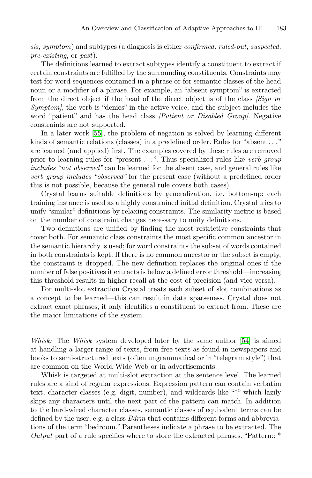*sis, symptom*) and subtypes (a diagnosis is either *confirmed, ruled-out, suspected, pre-existing,* or *past*).

The definitions learned to extract subtypes identify a constituent to extract if c[erta](#page-40-9)in constraints are fulfilled by the surrounding constituents. Constraints may test for word sequences contained in a phrase or for semantic classes of the head noun or a modifier of a phrase. For example, an "absent symptom" is extracted from the direct object if the head of the direct object is of the class *[Sign or Symptom]*, the verb is "denies" in the active voice, and the subject includes the word "patient" and has the head class *[Patient or Disabled Group]*. Negative constraints are not supported.

In a later work [55], the problem of negation is solved by learning different kinds of semantic relations (classes) in a predefined order. Rules for "absent . . . " are learned (and applied) first. The examples covered by these rules are removed prior to learning rules for "present . . . ". Thus specialized rules like *verb group includes "not observed"* can be learned for the absent case, and general rules like *verb group includes "observed"* for the present case (without a predefined order this is not possible, because the general rule covers both cases).

Crystal learns suitable definitions by generalization, i.e. bottom-up: each training instance is used as a highly constrained initial definition. Crystal tries to unify "similar" definitions by relaxing constraints. The similarity metric is based on the number of constraint changes necessary to unify definitions.

Two definitions are unified by finding the most restrictive constraints that cover both. For semantic class constraints the most specific common ancestor in the semantic hierarchy is used; for word constraints the subset of words contained in both constraints is kept. If there is no common ancestor or the subset is empty, the constraint is dropped. The new definition replaces the original ones if the number of false positives it extracts is below a defined error threshold—increasing this threshold results in higher recall at the cos[t](#page-40-0) [of](#page-40-0) precision (and vice versa).

For multi-slot extraction Crystal treats each subset of slot combinations as a concept to be learned—this can result in data sparseness. Crystal does not extract exact phrases, it only identifies a constituent to extract from. These are the major limitations of the system.

*Whisk:* The *Whisk* system developed later by the same author [54] is aimed at handling a larger range of texts, from free texts as found in newspapers and books to semi-structured texts (often ungrammatical or in "telegram style") that are common on the World Wide Web or in advertisements.

Whisk is targeted at multi-slot extraction at the sentence level. The learned rules are a kind of regular expressions. Expression pattern can contain verbatim text, character classes (e.g. digit, number), and wildcards like "\*" which lazily skips any characters until the next part of the pattern can match. In addition to the hard-wired character classes, semantic classes of equivalent terms can be defined by the user, e.g. a class *Bdrm* that contains different forms and abbreviations of the term "bedroom." Parentheses indicate a phrase to be extracted. The *Output* part of a rule specifies where to store the extracted phrases. "Pattern:: \*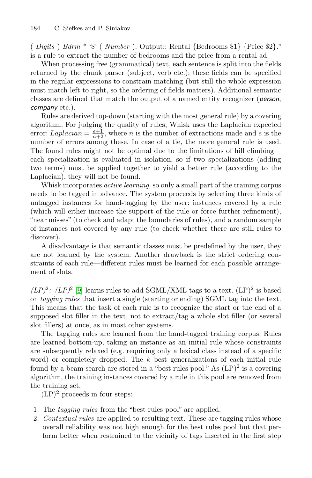( *Digits* ) *Bdrm* \* '\$' ( *Number* ). Output:: Rental {Bedrooms \$1} {Price \$2}." is a rule to extract the number of bedrooms and the price from a rental ad.

When processing free (grammatical) text, each sentence is split into the fields returned by the chunk parser (subject, verb etc.); these fields can be specified in the regular expressions to constrain matching (but still the whole expression must match left to right, so the ordering of fields matters). Additional semantic classes are defined that match the output of a named entity recognizer (*person*, *company* etc.).

Rules are derived top-down (starting with the most general rule) by a covering algorithm. For judging the quality of rules, Whisk uses the Laplacian expected error:  $Laplacian = \frac{e+1}{n+2}$ , where *n* is the number of extractions made and *e* is the number of errors among these. In case of a tie, the more general rule is used. The found rules might not be optimal due to the limitations of hill climbing each specialization is evaluated in isolation, so if two specializations (adding two terms) must be applied together to yield a better rule (according to the Laplacian), they will not be found.

Whisk incorporates *active learning*, so only a small part of the training corpus needs to be tagged in advance. The system proceeds by selecting three kinds of untagged instances for hand-tagging by the user: instances covered by a rule (which will either increase the support of the rule or force further refinement), "near misses" (to check and adapt the boundaries of rules), and a random sample of instances not covered by any rule (to check whether there are still rules to discover).

A disadvantage is that semantic classes must be predefined by the user, they are not learned by the system. Another drawback is the strict ordering constraints of each rule—different rules must be learned for each possible arrangement of slots.

 $(LP)^2$ :  $(LP)^2$  [9] learns rules to add SGML/XML tags to a text.  $(LP)^2$  is based on *tagging rules* that insert a single (starting or ending) SGML tag into the text. This means that the task of each rule is to recognize the start or the end of a supposed slot filler in the text, not to extract/tag a whole slot filler (or several slot fillers) at once, as in most other systems.

The tagging rules are learned from the hand-tagged training corpus. Rules are learned bottom-up, taking an instance as an initial rule whose constraints are subsequently relaxed (e.g. requiring only a lexical class instead of a specific word) or completely dropped. The  $k$  best generalizations of each initial rule found by a beam search are stored in a "best rules pool." As  $(LP)^2$  is a covering algorithm, the training instances covered by a rule in this pool are removed from the training set.

 $(LP)^2$  proceeds in four steps:

- 1. The *tagging rules* from the "best rules pool" are applied.
- 2. *Contextual rules* are applied to resulting text. These are tagging rules whose overall reliability was not high enough for the best rules pool but that perform better when restrained to the vicinity of tags inserted in the first step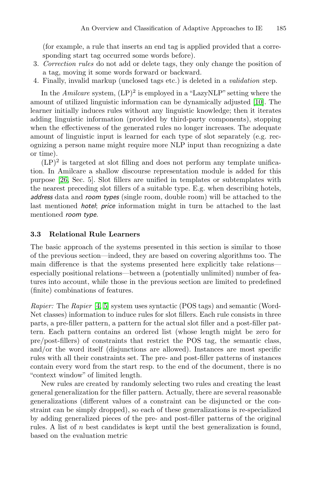(for example, a rule that inserts an end tag is applied provided that a corresponding start tag occurred some words before).

- 3. *Correction rules* do not add or delete tags, they only change the position of a tag, moving it some words forward or backward.
- 4. Finally, invalid markup (unclosed tags etc.) is deleted in a *validation* step.

In the *Amilcare* system,  $(LP)^2$  is employed in a "LazyNLP" setting where the amount of utilized linguistic information can be dynamically adjusted [10]. The learner initially induces rules without any linguistic knowledge; then it iterates adding linguistic information (provided by third-party components), stopping when the effectiveness of the generated rules no longer increases. The adequate amount of linguistic input is learned for each type of slot separately (e.g. recognizing a person name might require more NLP input than recognizing a date or time).

<span id="page-13-0"></span> $(LP)^2$  is targeted at slot filling and does not perform any template unification. In Amilcare a shallow discourse representation module is added for this purpose [26, Sec. 5]. Slot fillers are unified in templates or subtemplates with the nearest preceding slot fillers of a suitable type. E.g. when describing hotels, *address* data and *room types* (single room, double room) will be attached to the last mentioned *hotel*; *price* information might in turn be attached to the last mentioned *room type*.

### **3.3 Relational Rule Learners**

T[he](#page-37-3) [b](#page-37-4)asic approach of the systems presented in this section is similar to those of the previous section—indeed, they are based on covering algorithms too. The main difference is that the systems presented here explicitly take relations especially positional relations—between a (potentially unlimited) number of features into account, while those in the previous section are limited to predefined (finite) combinations of features.

*Rapier:* The *Rapier* [4, 5] system uses syntactic (POS tags) and semantic (Word-Net classes) information to induce rules for slot fillers. Each rule consists in three parts, a pre-filler pattern, a pattern for the actual slot filler and a post-filler pattern. Each pattern contains an ordered list (whose length might be zero for pre/post-fillers) of constraints that restrict the POS tag, the semantic class, and/or the word itself (disjunctions are allowed). Instances are most specific rules with all their constraints set. The pre- and post-filler patterns of instances contain every word from the start resp. to the end of the document, there is no "context window" of limited length.

New rules are created by randomly selecting two rules and creating the least general generalization for the filler pattern. Actually, there are several reasonable generalizations (different values of a constraint can be disjuncted or the constraint can be simply dropped), so each of these generalizations is re-specialized by adding generalized pieces of the pre- and post-filler patterns of the original rules. A list of n best candidates is kept until the best generalization is found, based on the evaluation metric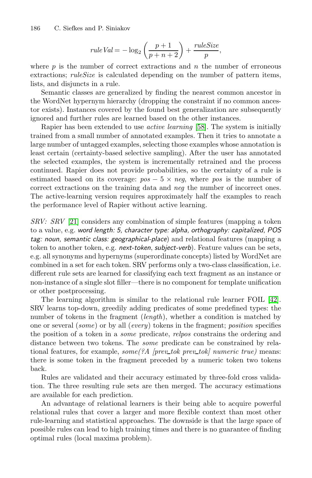$$
ruleVal = -\log_2\left(\frac{p+1}{p+n+2}\right) + \frac{ruleSize}{p},
$$

where  $p$  is the number of correc[t ex](#page-40-10)tractions and  $n$  the number of erroneous extractions; *ruleSize* is calculated depending on the number of pattern items, lists, and disjuncts in a rule.

Semantic classes are generalized by finding the nearest common ancestor in the WordNet hypernym hierarchy (dropping the constraint if no common ancestor exists). Instances covered by the found best generalization are subsequently ignored and further rules are learned based on the other instances.

Rapier has been extended to use *active learning* [58]. The system is initially trained from a small number of annotated examples. Then it tries to annotate a large number of untagged examples, selecting those examples whose annotation is least certain (certainty-based selective sampling). After the user has annotated the selected examples, the system is incrementally retrained and the process continued. Rapier does not provide probabilities, so the certainty of a rule is estimated based on its coverage:  $pos - 5 \times neg$ , where  $pos$  is the number of correct extractions on the training data and *neg* the number of incorrect ones. The active-learning version requires approximately half the examples to reach the performance level of Rapier without active learning.

*SRV: SRV* [21] considers any combination of simple features (mapping a token to a value, e.g. *word length: 5, character type: alpha, orthography: capitalized, POS tag: noun, semantic class: geographical-place*) and relatio[nal f](#page-39-6)eatures (mapping a token to another token, e.g. *next-token*, *subject-verb*). Feature values can be sets, e.g. all synonyms and hypernyms (superordinate concepts) listed by WordNet are combined in a set for each token. SRV performs only a two-class classification, i.e. different rule sets are learned for classifying each text fragment as an instance or non-instance of a single slot filler—there is no component for template unification or other postprocessing.

The learning algorithm is similar to the relational rule learner FOIL [42]. SRV learns top-down, greedily adding predicates of some predefined types: the number of tokens in the fragment (*length*), whether a condition is matched by one or several (*some*) or by all (*every*) tokens in the fragment; *position* specifies the position of a token in a *some* predicate, *relpos* constrains the ordering and distance between two tokens. The *some* predicate can be constrained by relational features, for example, *some(?A [prev tok prev tok] numeric true)* means: there is some token in the fragment preceded by a numeric token two tokens back.

Rules are validated and their accuracy estimated by three-fold cross validation. The three resulting rule sets are then merged. The accuracy estimations are available for each prediction.

An advantage of relational learners is their being able to acquire powerful relational rules that cover a larger and more flexible context than most other rule-learning and statistical approaches. The downside is that the large space of possible rules can lead to high training times and there is no guarantee of finding optimal rules (local maxima problem).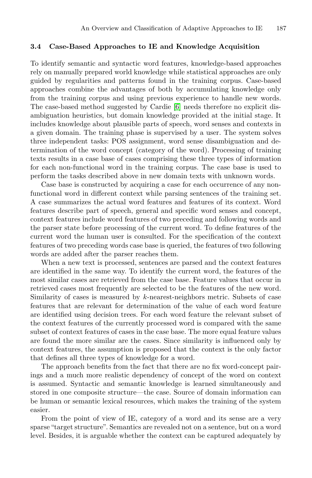# <span id="page-15-0"></span>**3.4 Case-Based Appr[oa](#page-37-1)ches to IE and Knowledge Acquisition**

To identify semantic and syntactic word features, knowledge-based approaches rely on manually prepared world knowledge while statistical approaches are only guided by regularities and patterns found in the training corpus. Case-based approaches combine the advantages of both by accumulating knowledge only from the training corpus and using previous experience to handle new words. The case-based method suggested by Cardie [6] needs therefore no explicit disambiguation heuristics, but domain knowledge provided at the initial stage. It includes knowledge about plausible parts of speech, word senses and contexts in a given domain. The training phase is supervised by a user. The system solves three independent tasks: POS assignment, word sense disambiguation and determination of the word concept (category of the word). Processing of training texts results in a case base of cases comprising these three types of information for each non-functional word in the training corpus. The case base is used to perform the tasks described above in new domain texts with unknown words.

Case base is constructed by acquiring a case for each occurrence of any nonfunctional word in different context while parsing sentences of the training set. A case summarizes the actual word features and features of its context. Word features describe part of speech, general and specific word senses and concept, context features include word features of two preceding and following words and the parser state before processing of the current word. To define features of the current word the human user is consulted. For the specification of the context features of two preceding words case base is queried, the features of two following words are added after the parser reaches them.

When a new text is processed, sentences are parsed and the context features are identified in the same way. To identify the current word, the features of the most similar cases are retrieved from the case base. Feature values that occur in retrieved cases most frequently are selected to be the features of the new word. Similarity of cases is measured by  $k$ -nearest-neighbors metric. Subsets of case features that are relevant for determination of the value of each word feature are identified using decision trees. For each word feature the relevant subset of the context features of the currently processed word is compared with the same subset of context features of cases in the case base. The more equal feature values are found the more similar are the cases. Since similarity is influenced only by context features, the assumption is proposed that the context is the only factor that defines all three types of knowledge for a word.

The approach benefits from the fact that there are no fix word-concept pairings and a much more realistic dependency of concept of the word on context is assumed. Syntactic and semantic knowledge is learned simultaneously and stored in one composite structure—the case. Source of domain information can be human or semantic lexical resources, which makes the training of the system easier.

From the point of view of IE, category of a word and its sense are a very sparse"target structure". Semantics are revealed not on a sentence, but on a word level. Besides, it is arguable whether the context can be captured adequately by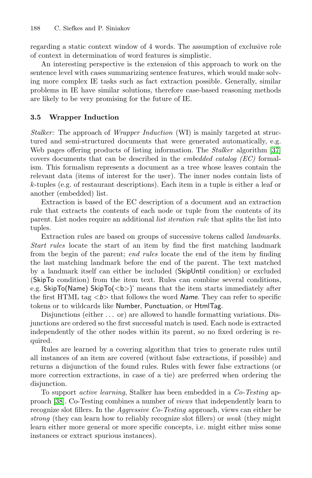regarding a static context window of 4 words. The assumption of exclusive role of context in determination of word features is simplistic.

An interesting perspective is the extension of this approach to work on the sentence level with cases summarizing sentence features, which would make solving more complex IE tasks such as fact extraction possible. Generally, similar problems in IE have similar solutions, therefore case-ba[sed](#page-39-7) reasoning methods are likely to be very promising for the future of IE.

### **3.5 Wrapper Induction**

*Stalker:* The approach of *Wrapper Induction* (WI) is mainly targeted at structured and semi-structured documents that were generated automatically, e.g. Web pages offering products of listing information. The *Stalker* algorithm [37] covers documents that can be described in the *embedded catalog (EC)* formalism. This formalism represents a document as a tree whose leaves contain the relevant data (items of interest for the user). The inner nodes contain lists of k-tuples (e.g. of restaurant descriptions). Each item in a tuple is either a leaf or another (embedded) list.

Extraction is based of the EC description of a document and an extraction rule that extracts the contents of each node or tuple from the contents of its parent. List nodes require an additional *list iteration rule* that splits the list into tuples.

Extraction rules are based on groups of successive tokens called *landmarks. Start rules* locate the start of an item by find the first matching landmark from the begin of the parent; *end rules* locate the end of the item by finding the last matching landmark before the end of the parent. The text matched by a landmark itself can either be included (SkipUntil condition) or excluded (SkipTo condition) from the item text. Rules can combine several conditions, e.g. SkipTo(Name) SkipTo(<b>)' means that the item starts immediately after the first HTML tag <*b*> that follows the word *Name*. They can refer to specific tokens or to wildcards like Number, Punctuation, or HtmlTag.

Disjunctions (either ... or) are allowed to handle formatting variations. Disjunctions are ordered so the first successful match is used. Each node is extracted independently of the other nodes within its parent, so no fixed ordering is required.

Rules are learned by a covering algorithm that tries to generate rules until all instances of an item are covered (without false extractions, if possible) and returns a disjunction of the found rules. Rules with fewer false extractions (or more correction extractions, in case of a tie) are preferred when ordering the disjunction.

To support *active learning*, Stalker has been embedded in a *Co-Testing* approach [38]. Co-Testing combines a number of *views* that independently learn to recognize slot fillers. In the *Aggressive Co-Testing* approach, views can either be *strong* (they can learn how to reliably recognize slot fillers) or *weak* (they might learn either more general or more specific concepts, i.e. might either miss some instances or extract spurious instances).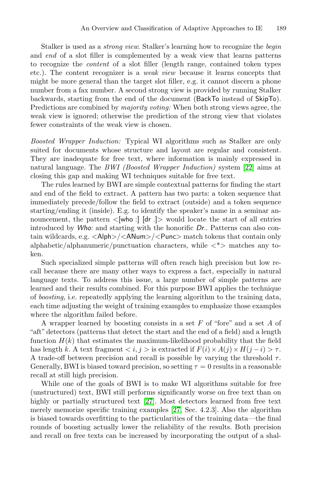Stalker is used as a *strong view*. Stalker's learning how to recognize the *begin* and *end* of a slot filler is complemented by a weak view that learns patterns to recognize the *content* of a slot filler (length range, contained token types etc.). The content recognizer is a *weak view* because it learns concepts that might be more general than the target slot filler, e.g. it cannot discern a phone number from a fax number. A second strong view is provided by running Stalker backwards, starting from the end of the document (BackTo instead of SkipTo). Predictions are combined by *majority voting:* Wh[en](#page-38-1) both strong views agree, the weak view is ignored; otherwise the prediction of the strong view that violates fewer constraints of the weak view is chosen.

*Boosted Wrapper Induction:* Typical WI algorithms such as Stalker are only suited for documents whose structure and layout are regular and consistent. They are inadequate for free text, where information is mainly expressed in natural language. The *BWI (Boosted Wrapper Induction)* system [22] aims at closing this gap and making WI techniques suitable for free text.

The rules learned by BWI are simple contextual patterns for finding the start and end of the field to extract. A pattern has two parts: a token sequence that immediately precede/follow the field to extract (outside) and a token sequence starting/ending it (inside). E.g. to identify the speaker's name in a seminar announcement, the pattern  $\langle$ [who :] [dr .] > would locate the start of all entries introduced by *Who:* and starting with the honorific *Dr.*. Patterns can also contain wildcards, e.g.  $\langle A|ph\rangle / \langle ANum \rangle / \langle Punc\rangle$  match tokens that contain only alphabetic/alphanumeric/punctuation characters, while  $\langle * \rangle$  matches any token.

Such specialized simple patterns will often reach high precision but low recall because there are many other ways to express a fact, especially in natural language texts. To address this issue, a large number of simple patterns are learned and their results combined. For this purpose BWI applies the technique of *boosting,* i.e. repeatedly applying the learning algorithm to the training data, each time adjusting the weight of training examples to emphasize those examples where the algorithm failed before.

A wrapper learned by boosting consists in a set  $F$  of "fore" and a set  $A$  of "aft" detectors (patterns that detect the start and the end of a field) and a length function  $H(k)$  th[at e](#page-38-9)stimates the maximum-likelihood probability that the field has length k. A text frag[ment](#page-38-9)  $\langle i, j \rangle$  is extracted if  $F(i) \times A(j) \times H(j - i) > \tau$ . A trade-off between precision and recall is possible by varying the threshold  $\tau$ . Generally, BWI is biased toward precision, so setting  $\tau = 0$  results in a reasonable recall at still high precision.

While one of the goals of BWI is to make WI algorithms suitable for free (unstructured) text, BWI still performs significantly worse on free text than on highly or partially structured text [27]. Most detectors learned from free text merely memorize specific training examples [27, Sec. 4.2.3]. Also the algorithm is biased towards overfitting to the particularities of the training data—the final rounds of boosting actually lower the reliability of the results. Both precision and recall on free texts can be increased by incorporating the output of a shal-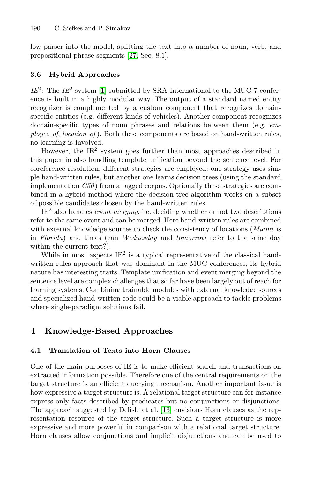<span id="page-18-0"></span>low parser into the model, splitting the text into a number of noun, verb, and prepositional phrase segments [27, Sec. 8.1].

# **3.6 Hybrid Approaches**

 $IE^2$ : The  $IE^2$  system [1] submitted by SRA International to the MUC-7 conference is built in a highly modular way. The output of a standard named entity recognizer is complemented by a custom component that recognizes domainspecific entities (e.g. different kinds of vehicles). Another component recognizes domain-specific types of noun phrases and relations between them (e.g. *employee of*, *location of*). Both these components are based on hand-written rules, no learning is involved.

However, the  $IE^2$  system goes further than most approaches described in this paper in also handling template unification beyond the sentence level. For coreference resolution, different strategies are employed: one strategy uses simple hand-written rules, but another one learns decision trees (using the standard implementation *C50*) from a tagged corpus. Optionally these strategies are combined in a hybrid method where the decision tree algorithm works on a subset of possible candidates chosen by the hand-written rules.

IE<sup>2</sup> also handles *event merging*, i.e. deciding whether or not two descriptions refer to the same event and can be merged. Here hand-written rules are combined with external knowledge sources to check the consistency of locations (*Miami* is in *Florida*) and times (can *Wednesday* and *tomorrow* refer to the same day within the current text?).

<span id="page-18-2"></span><span id="page-18-1"></span>While in most aspects  $IE^2$  is a typical representative of the classical handwritten rules approach that was dominant in the MUC conferences, its hybrid nature has interesting traits. Template unification and event merging beyond the sentence level are complex challenges that so far have been largely out of reach for learning systems. Combining trainable modules with external knowledge sources and specialized hand-written code could be a viable approach to tackle problems where single-paradigm solutions fail.

# **4 Knowledge-Based Approaches**

# **4.1 Translation of [Te](#page-38-10)xts into Horn Clauses**

One of the main purposes of IE is to make efficient search and transactions on extracted information possible. Therefore one of the central requirements on the target structure is an efficient querying mechanism. Another important issue is how expressive a target structure is. A relational target structure can for instance express only facts described by predicates but no conjunctions or disjunctions. The approach suggested by Delisle et al. [13] envisions Horn clauses as the representation resource of the target structure. Such a target structure is more expressive and more powerful in comparison with a relational target structure. Horn clauses allow conjunctions and implicit disjunctions and can be used to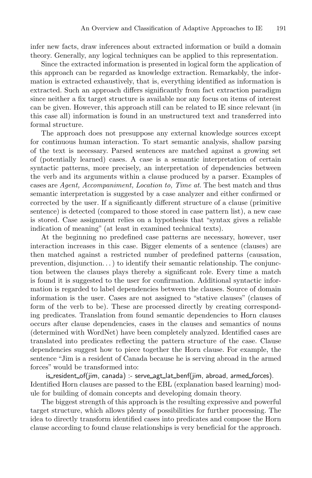infer new facts, draw inferences about extracted information or build a domain theory. Generally, any logical techniques can be applied to this representation.

Since the extracted information is presented in logical form the application of this approach can be regarded as knowledge extraction. Remarkably, the information is extracted exhaustively, that is, everything identified as information is extracted. Such an approach differs significantly from fact extraction paradigm since neither a fix target structure is available nor any focus on items of interest can be given. However, this approach still can be related to IE since relevant (in this case all) information is found in an unstructured text and transferred into formal structure.

The approach does not presuppose any external knowledge sources except for continuous human interaction. To start semantic analysis, shallow parsing of the text is necessary. Parsed sentences are matched against a growing set of (potentially learned) cases. A case is a semantic interpretation of certain syntactic patterns, more precisely, an interpretation of dependencies between the verb and its arguments within a clause produced by a parser. Examples of cases are *Agent, Accompaniment, Location to, Time at*. The best match and thus semantic interpretation is suggested by a case analyzer and either confirmed or corrected by the user. If a significantly different structure of a clause (primitive sentence) is detected (compared to those stored in case pattern list), a new case is stored. Case assignment relies on a hypothesis that "syntax gives a reliable indication of meaning" (at least in examined technical texts).

At the beginning no predefined case patterns are necessary, however, user interaction increases in this case. Bigger elements of a sentence (clauses) are then matched against a restricted number of predefined patterns (causation, prevention, disjunction. . . ) to identify their semantic relationship. The conjunction between the clauses plays thereby a significant role. Every time a match is found it is suggested to the user for confirmation. Additional syntactic information is regarded to label dependencies between the clauses. Source of domain information is the user. Cases are not assigned to "stative clauses" (clauses of form of the verb to be). These are processed directly by creating corresponding predicates. Translation from found semantic dependencies to Horn clauses occurs after clause dependencies, cases in the clauses and semantics of nouns (determined with WordNet) have been completely analyzed. Identified cases are translated into predicates reflecting the pattern structure of the case. Clause dependencies suggest how to piece together the Horn clause. For example, the sentence "Jim is a resident of Canada because he is serving abroad in the armed forces" would be transformed into:

is\_resident\_of(jim, canada) :- serve\_agt\_lat\_benf(jim, abroad, armed\_forces). Identified Horn clauses are passed to the EBL (explanation based learning) module for building of domain concepts and developing domain theory.

The biggest strength of this approach is the resulting expressive and powerful target structure, which allows plenty of possibilities for further processing. The idea to directly transform identified cases into predicates and compose the Horn clause according to found clause relationships is very beneficial for the approach.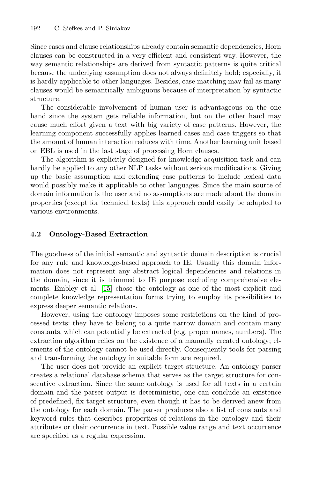Since cases and clause relationships already contain semantic dependencies, Horn clauses can be constructed in a very efficient and consistent way. However, the way semantic relationships are derived from syntactic patterns is quite critical because the underlying assumption does not always definitely hold; especially, it is hardly applicable to other languages. Besides, case matching may fail as many clauses would be semantically ambiguous because of interpretation by syntactic structure.

The considerable involvement of human user is advantageous on the one hand since the system gets reliable information, but on the other hand may cause much effort given a text with big variety of case patterns. However, the learning component successfully applies learned cases and case triggers so that the amount of human interaction reduces with time. Another learning unit based on EBL is used in the last stage of processing Horn clauses.

<span id="page-20-0"></span>The algorithm is explicitly designed for knowledge acquisition task and can hardly be applied to any other NLP tasks without serious modifications. Giving up the basic assumption and extending case patterns to include lexical data would possibly make it applicable to other languages. Since the main source of domain information is the user and no assumptions are made about the domain properties (except for technical texts) this approach could easily be adapted to various environments.

# **4.2 Ontology-Based Extraction**

The goodness of the initial semantic and syntactic domain description is crucial for any rule and knowledge-based approach to IE. Usually this domain information does not represent any abstract logical dependencies and relations in the domain, since it is trimmed to IE purpose excluding comprehensive elements. Embley et al. [15] chose the ontology as one of the most explicit and complete knowledge representation forms trying to employ its possibilities to express deeper semantic relations.

However, using the ontology imposes some restrictions on the kind of processed texts: they have to belong to a quite narrow domain and contain many constants, which can potentially be extracted (e.g. proper names, numbers). The extraction algorithm relies on the existence of a manually created ontology; elements of the ontology cannot be used directly. Consequently tools for parsing and transforming the ontology in suitable form are required.

The user does not provide an explicit target structure. An ontology parser creates a relational database schema that serves as the target structure for consecutive extraction. Since the same ontology is used for all texts in a certain domain and the parser output is deterministic, one can conclude an existence of predefined, fix target structure, even though it has to be derived anew from the ontology for each domain. The parser produces also a list of constants and keyword rules that describes properties of relations in the ontology and their attributes or their occurrence in text. Possible value range and text occurrence are specified as a regular expression.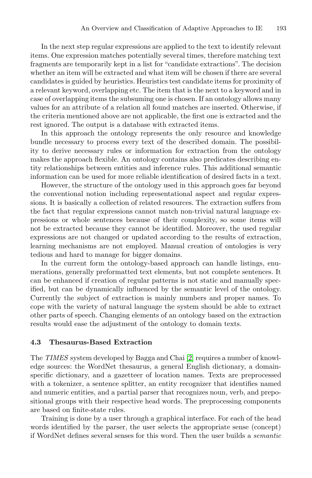In the next step regular expressions are applied to the text to identify relevant items. One expression matches potentially several times, therefore matching text fragments are temporarily kept in a list for "candidate extractions". The decision whether an item will be extracted and what item will be chosen if there are several candidates is guided by heuristics. Heuristics test candidate items for proximity of a relevant keyword, overlapping etc. The item that is the next to a keyword and in case of overlapping items the subsuming one is chosen. If an ontology allows many values for an attribute of a relation all found matches are inserted. Otherwise, if the criteria mentioned above are not applicable, the first one is extracted and the rest ignored. The output is a database with extracted items.

In this approach the ontology represents the only resource and knowledge bundle necessary to process every text of the described domain. The possibility to derive necessary rules or information for extraction from the ontology makes the approach flexible. An ontology contains also predicates describing entity relationships between entities and inference rules. This additional semantic information can be used for more reliable identification of desired facts in a text.

However, the structure of the ontology used in this approach goes far beyond the conventional notion including representational aspect and regular expressions. It is basically a collection of related resources. The extraction suffers from the fact that regular expressions cannot match non-trivial natural language expressions or whole sentences because of their complexity, so some items will not be extracted because they cannot be identified. Moreover, the used regular expressions are not changed or updated according to the results of extraction, learning mechanisms are not employed. Manual creation of ontologies is very tedious and hard to manage for bigger domains.

<span id="page-21-0"></span>In the current form the ontology-based approach can handle listings, enumerations, generally preformatted text elements, but not complete sentences. It can be enhanced if creation of regular patterns is not static and manually specified, but can be dynamically influenced by the semantic level of the ontology. Currently the subject of extr[act](#page-37-5)ion is mainly numbers and proper names. To cope with the variety of natural language the system should be able to extract other parts of speech. Changing elements of an ontology based on the extraction results would ease the adjustment of the ontology to domain texts.

### **4.3 Thesaurus-Based Extraction**

The *TIMES* system developed by Bagga and Chai [2] requires a number of knowledge sources: the WordNet thesaurus, a general English dictionary, a domainspecific dictionary, and a gazetteer of location names. Texts are preprocessed with a tokenizer, a sentence splitter, an entity recognizer that identifies named and numeric entities, and a partial parser that recognizes noun, verb, and prepositional groups with their respective head words. The preprocessing components are based on finite-state rules.

Training is done by a user through a graphical interface. For each of the head words identified by the parser, the user selects the appropriate sense (concept) if WordNet defines several senses for this word. Then the user builds a *semantic*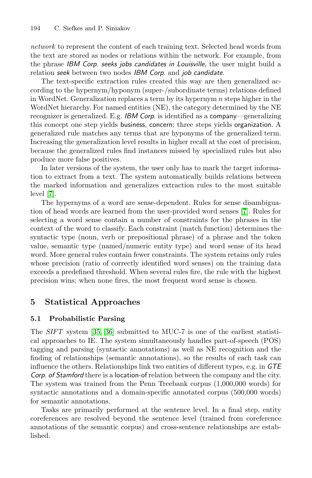*network* to represent the content of each training text. Selected head words from the text are stored as nodes or relations within the network. For example, from the phrase *IBM Corp. seeks jobs candidates in Louisville*, the user might build a relation *seek* between two nodes *IBM Corp.* and *job candidate*.

The text-specific extraction rules created this way are then generalized according to the hypernym/hyponym (super-/subordinate terms) relations defined in WordNet. Generalization replaces a term by its hypernym  $n$  steps higher in the WordNet hierarchy. For named entities (NE), the category determined by the NE recognizer is generalized. E.g. *IBM Corp.* is identified as a company—generalizing this concept one step yields business, concern; three steps yields organization. A generalized rule matches any terms that are hyponyms of the generalized term. Increasing the generalization level results in higher recall at the cost of precision, because the generalized rules find instances mis[sed](#page-37-6) by specialized rules but also produce more false positives.

In later versions of the system, the user only has to mark the target information to extract from a text. The system automatically builds relations between the marked information and generalizes extraction rules to the most suitable level [7].

<span id="page-22-1"></span><span id="page-22-0"></span>The hypernyms of a word are sense-dependent. Rules for sense disambiguation of head words are learned from the user-provided word senses [7]. Rules for selecting a word sense contain a number of constraints for the phrases in the context of the word to classify. Each constraint (match function) determines the syntactic type (noun, verb or prepositional phrase) of a phrase and the token value, semantic type (named/numeric entity type) and word sense of its head word. More general rules contain fewer constraints. The system retains only rules whose precision (ratio of correctly identified word senses) on the training data [exce](#page-39-1)[eds](#page-39-2) a predefined threshold. When several rules fire, the rule with the highest precision wins; when none fires, the most frequent word sense is chosen.

# **5 Statistical Approaches**

# **5.1 Probabilistic Parsing**

The *SIFT* system [35, 36] submitted to MUC-7 is one of the earliest statistical approaches to IE. The system simultaneously handles part-of-speech (POS) tagging and parsing (syntactic annotations) as well as NE recognition and the finding of relationships (semantic annotations), so the results of each task can influence the others. Relationships link two entities of different types, e.g. in *GTE Corp. of Stamford* there is a location-of relation between the company and the city. The system was trained from the Penn Treebank corpus (1,000,000 words) for syntactic annotations and a domain-specific annotated corpus (500,000 words) for semantic annotations.

Tasks are primarily performed at the sentence level. In a final step, entity coreferences are resolved beyond the sentence level (trained from coreference annotations of the semantic corpus) and cross-sentence relationships are established.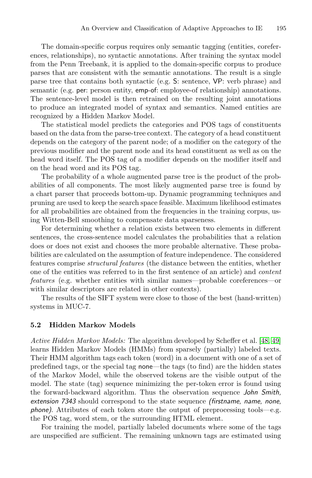The domain-specific corpus requires only semantic tagging (entities, coreferences, relationships), no syntactic annotations. After training the syntax model from the Penn Treebank, it is applied to the domain-specific corpus to produce parses that are consistent with the semantic annotations. The result is a single parse tree that contains both syntactic (e.g. S: sentence, VP: verb phrase) and semantic (e.g. per: person entity, emp-of: employee-of relationship) annotations. The sentence-level model is then retrained on the resulting joint annotations to produce an integrated model of syntax and semantics. Named entities are recognized by a Hidden Markov Model.

The statistical model predicts the categories and POS tags of constituents based on the data from the parse-tree context. The category of a head constituent depends on the category of the parent node; of a modifier on the category of the previous modifier and the parent node and its head constituent as well as on the head word itself. The POS tag of a modifier depends on the modifier itself and on the head word and its POS tag.

The probability of a whole augmented parse tree is the product of the probabilities of all components. The most likely augmented parse tree is found by a chart parser that proceeds bottom-up. Dynamic programming techniques and pruning are used to keep the search space feasible. Maximum likelihood estimates for all probabilities are obtained from the frequencies in the training corpus, using Witten-Bell smoothing to compensate data sparseness.

<span id="page-23-0"></span>For determining whether a relation exists between two elements in different sentences, the cross-sentence model calculates the probabilities that a relation does or does not exist and chooses the more probable alternative. These probabilities are calculated on the assumption of feature independence. The considered features comprise *structural features* (the distance between the entities, whether one of the entities was referred to in the first sentence of an article) and *content features* (e.g. whether entities with similar names—[pro](#page-40-1)[bab](#page-40-2)le coreferences—or with similar descriptors are related in other contexts).

The results of the SIFT system were close to those of the best (hand-written) systems in MUC-7.

# **5.2 Hidden Markov Models**

*Active Hidden Markov Models:* The algorithm developed by Scheffer et al. [48, 49] learns Hidden Markov Models (HMMs) from sparsely (partially) labeled texts. Their HMM algorithm tags each token (word) in a document with one of a set of predefined tags, or the special tag none—the tags (to find) are the hidden states of the Markov Model, while the observed tokens are the visible output of the model. The state (tag) sequence minimizing the per-token error is found using the forward-backward algorithm. Thus the observation sequence *John Smith, extension 7343* should correspond to the state sequence *(firstname, name, none, phone)*. Attributes of each token store the output of preprocessing tools—e.g. the POS tag, word stem, or the surrounding HTML element.

For training the model, partially labeled documents where some of the tags are unspecified are sufficient. The remaining unknown tags are estimated using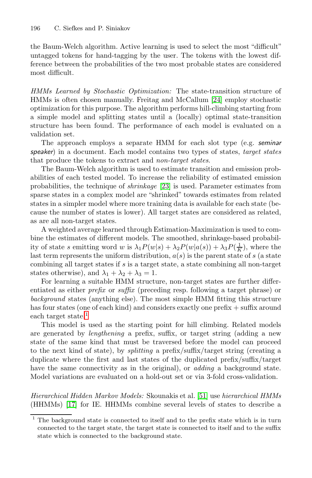the Baum-Welch algorithm. Active learning is used to select the most "difficult" untagged tokens for hand-tagging by the user. The tokens with the lowest difference between the probabilities of the two most probable states are considered most difficult.

*HMMs Learned by Stochastic Optimization:* The state-transition structure of HMMs is often chosen manually. Freitag and McCallum [24] employ stochastic optimization for this purpose. The algorithm performs hill-climbing starting from a simple model and splitting states until a (locally) optimal state-transition structure has been fo[und](#page-38-3). The performance of each model is evaluated on a validation set.

The approach employs a separate HMM for each slot type (e.g. *seminar speaker*) in a document. Each model contains two types of states, *target states* that produce the tokens to extract and *non-target states*.

The Baum-Welch algorithm is used to estimate transition and emission probabilities of each tested model. To increase the reliability of estimated emission probabilities, the technique of *shrinkage* [23] is used. Parameter estimates from sparse states in a complex model are "shrinked" towards estimates from related states in a simpler model where more training data is available for each state (because the number of states is lower). All target states are considered as related, as are all non-target states.

A weighted average learned through Estimation-Maximization is used to combine the estimates of different models. The smoothed, shrinkage-based probability of state s emitting word w is  $\lambda_1 P(w|s) + \lambda_2 P(w|a(s)) + \lambda_3 P(\frac{1}{K})$ , where the last term represents the uniform distribution,  $a(s)$  is the parent state of s (a state combining all target states if s is a target state, a state combining all non-target states otherwise), and  $\lambda_1 + \lambda_2 + \lambda_3 = 1$ .

For learning a suitable HMM structure, non-target states are further differentiated as either *prefix* or *suffix* (preceding resp. following a target phrase) or *background* states (anything else). The most simple HMM fitting this structure has four states (one of each kind) and considers exactly one prefix + suffix around each target state.<sup>1</sup>

This model is used as the starting point for hill climbing. Related models are generated by *lengthening* a [prefi](#page-40-3)x, suffix, or target string (adding a new state of the same kind that must be traversed before the model can proceed to the next kind of state), by *splitting* a prefix/suffix/target string (creating a duplicate where the first and last states of the duplicated prefix/suffix/target have the same connectivity as in the original), or *adding* a background state. Model variations are evaluated on a hold-out set or via 3-fold cross-validation.

*Hierarchical Hidden Markov Models:* Skounakis et al. [51] use *hierarchical HMMs* (HHMMs) [17] for IE. HHMMs combine several levels of states to describe a

<sup>1</sup> The background state is connected to itself and to the prefix state which is in turn connected to the target state, the target state is connected to itself and to the suffix state which is connected to the background state.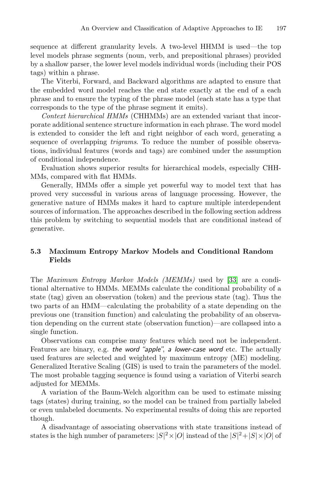sequence at different granularity levels. A two-level HHMM is used—the top level models phrase segments (noun, verb, and prepositional phrases) provided by a shallow parser, the lower level models individual words (including their POS tags) within a phrase.

The Viterbi, Forward, and Backward algorithms are adapted to ensure that the embedded word model reaches the end state exactly at the end of a each phrase and to ensure the typing of the phrase model (each state has a type that corresponds to the type of the phrase segment it emits).

*Context hierarchical HMMs* (CHHMMs) are an extended variant that incorporate additional sentence structure information in each phrase. The word model is extended to consider the left and right neighbor of each word, generating a sequence of overlapping *trigrams*. To reduce the number of possible observations, individual features (words and tags) are combined under the assumption of conditional independence.

Evaluation shows superior results for hierarchical models, especially CHH-MMs, compared with flat HMMs.

<span id="page-25-0"></span>Generally, HMMs offer a simple yet powerful way to model text that has proved very successful in various areas of language processing. However, the generative nature of HMMs makes it hard to capture multiple interdependent sources of information. The approaches described in the following section address this problem by switching to sequential m[odel](#page-39-8)s that are conditional instead of generative.

# **5.3 Maximum Entropy Markov Models and Conditional Random Fields**

The *Maximum Entropy Markov Models (MEMMs)* used by [33] are a conditional alternative to HMMs. MEMMs calculate the conditional probability of a state (tag) given an observation (token) and the previous state (tag). Thus the two parts of an HMM—calculating the probability of a state depending on the previous one (transition function) and calculating the probability of an observation depending on the current state (observation function)—are collapsed into a single function.

Observations can comprise many features which need not be independent. Features are binary, e.g. *the word "apple"*, *a lower-case word* etc. The actually used features are selected and weighted by maximum entropy (ME) modeling. Generalized Iterative Scaling (GIS) is used to train the parameters of the model. The most probable tagging sequence is found using a variation of Viterbi search adjusted for MEMMs.

A variation of the Baum-Welch algorithm can be used to estimate missing tags (states) during training, so the model can be trained from partially labeled or even unlabeled documents. No experimental results of doing this are reported though.

A disadvantage of associating observations with state transitions instead of states is the high number of parameters:  $|S|^2 \times |O|$  instead of the  $|S|^2 + |S| \times |O|$  of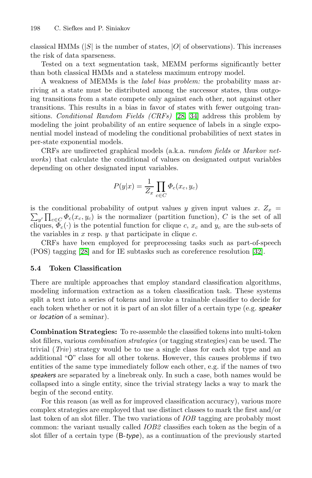classical HMMs  $(|S|$  is the number of states,  $|O|$  of observations). This increases the risk of data sparseness.

Tested on a text segmentation task, MEMM performs significantly better than both classical HMMs and a stateless maximum entropy model.

A weakness of MEMMs is the *label bias problem:* the probability mass arriving at a state must be distributed among the successor states, thus outgoing transitions from a state compete only against each other, not against other transitions. This results in a bias in favor of states with fewer outgoing transitions. *Conditional Random Fields (CRFs)* [28, 34] address this problem by modeling the joint probability of an entire sequence of labels in a single exponential model instead of modeling the conditional probabilities of next states in per-state exponential models.

CRFs are undirected graphical models (a.k.a. *random fields* or *Markov networks*) that calculate the conditional of values on designated output variables depending on other designated input variables.

$$
P(y|x) = \frac{1}{Z_x} \prod_{c \in C} \Phi_c(x_c, y_c)
$$

<span id="page-26-0"></span>is the conditional probability of output values  $y$  given input values  $x$ .  $Z_x =$  $\sum_{y'} \prod_{c \in C} \Phi_c(x_c, y_c)$  is the normalizer (partition function), C is the set of all cliques,  $\Phi_c(\cdot)$  is the potential function for clique c,  $x_c$  and  $y_c$  are the sub-sets of the variables in  $x$  resp.  $y$  that participate in clique  $c$ .

CRFs have been employed for preprocessing tasks such as part-of-speech (POS) tagging [28] and for IE subtasks such as coreference resolution [32].

# **5.4 Token Classification**

There are multiple approaches that employ standard classification algorithms, modeling information extraction as a token classification task. These systems split a text into a series of tokens and invoke a trainable classifier to decide for each token whether or not it is part of an slot filler of a certain type (e.g. *speaker* or *location* of a seminar).

**Combination Strategies:** To re-assemble the classified tokens into multi-token slot fillers, various *combination strategies* (or tagging strategies) can be used. The trivial (*Triv*) strategy would be to use a single class for each slot type and an additional "O" class for all other tokens. However, this causes problems if two entities of the same type immediately follow each other, e.g. if the names of two *speakers* are separated by a linebreak only. In such a case, both names would be collapsed into a single entity, since the trivial strategy lacks a way to mark the begin of the second entity.

For this reason (as well as for improved classification accuracy), various more complex strategies are employed that use distinct classes to mark the first and/or last token of an slot filler. The two variations of *IOB* tagging are probably most common: the variant usually called *IOB2* classifies each token as the begin of a slot filler of a certain type (B-*type*), as a continuation of the previously started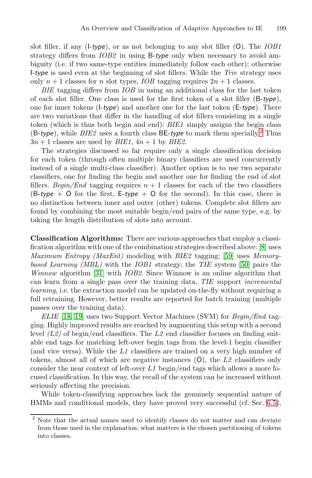slot filler, if any (I-*type*), or as not belonging to any slot filler (O). The *IOB1* strategy differs from *IOB2* in using B-*type* only when necessary to avoid ambiguity (i.e. if two same-type entities immediately follow each other); otherwise I-*type* is used even at the beginning of slot fillers. W[hil](#page-27-0)e the *Triv* strategy uses only  $n + 1$  classes for n slot types, *IOB* tagging requires  $2n + 1$  classes.

*BIE* tagging differs from *IOB* in using an additional class for the last token of each slot filler. One class is used for the first token of a slot filler (B-*type*), one for inner tokens (I-*type*) and another one for the last token (E-*type*). There are two variations that differ in the handling of slot fillers consisting in a single token (which is thus both begin and end): *BIE1* simply assigns the begin class (B-*type*), while *BIE2* uses a fourth class BE-*type* to mark them specially.<sup>2</sup> Thus  $3n + 1$  classes are used by *BIE1*,  $4n + 1$  by *BIE2*.

The strategies discussed so far require only a single classification decision for each token (through often multiple binary classifiers are used concurrently instead of a single multi-class classifier). Another option is to use two separate classifiers, one for finding the begin and another one for finding the end of slot fillers. *Begin/End* tagging requires  $n + 1$  classes for [ea](#page-37-7)ch of the two classifiers  $(B-type + O for the first, E-type + O for the second)$  $(B-type + O for the first, E-type + O for the second)$  $(B-type + O for the first, E-type + O for the second)$ . In this case, there is no distinction between inner and outer (other) [tok](#page-40-5)ens. Complete slot fillers are f[oun](#page-39-10)d by combining the most suitable begin/end pairs of the same type, e.g. by taking the length distribution of slots into account.

**Classification Algorithms:** There are various approaches that employ a classification algorithm with one of the combination strategies described above: [8] uses *Maximum Entropy (MaxEnt)* modeling with *BIE2* tagging; [59] uses *Memorybased Learning (MBL)* with the *IOB1* strategy; the *TIE* system [50] pairs the *Winnow* algorithm [31] with *IOB2*. Since Winnow is an online algorithm that can learn from a single pass over the training data, *TIE* support *incremental learning*, i.e. the extraction model can be updated on-the-fly without requiring a full retraining. However, better results are reported for batch training (multiple passes over the training data).

*ELIE* [18, 19] uses two Support Vector Machines (SVM) for *Begin/End* tagging. Highly improved results are reached by augmenting this setup with a second level *(L2)* of begin/end classifiers. The *L2* end classifier focuses on finding suitable end tags for matching left-over begin tags from th[e le](#page-32-0)vel-1 begin classifier (and vice versa). While the *L1* classifiers are trained on a very high number of tokens, almost all of which are negative instances (O), the *L2* classifiers only consider the near context of left-over *L1* begin/end tags which allows a more focused classification. In this way, the recall of the system can be increased without seriously affecting the precision.

<span id="page-27-0"></span>While token-classifying approaches lack the genuinely sequential nature of HMMs and conditional models, they have proved very successful (cf. Sec. 6.5),

<sup>&</sup>lt;sup>2</sup> Note that the actual names used to identify classes do not matter and can deviate from those used in the explanation; what matters is the chosen partitioning of tokens into classes.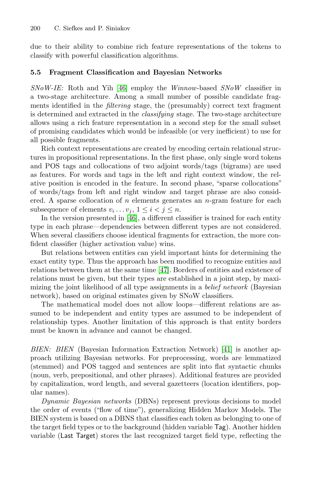<span id="page-28-0"></span>due to their ability to combine rich feature representations of the tokens to classify with powerful classification algorithms.

# **5.5 Fragment Classification and Bayesian Networks**

*SNoW-IE:* Roth and Yih [46] employ the *Winnow*-based *SNoW* classifier in a two-stage architecture. Among a small number of possible candidate fragments identified in the *filtering* stage, the (presumably) correct text fragment is determined and extracted in the *classifying* stage. The two-stage architecture allows using a rich feature representation in a second step for the small subset of promising candidates which would be infeasible (or very inefficient) to use for all possible fragments.

Rich context representations are created by encoding certain relational structures in pro[pos](#page-39-11)itional representations. In the first phase, only single word tokens and POS tags and collocations of two adjoint words/tags (bigrams) are used as features. For words and tags in the left and right context window, the relative position is encoded in the feature. In second phase, "sparse collocations" of words/tags from left and right window and target phrase are also considered. A sparse collocation of n elements generates an n-gram feature for each subsequence of eleme[nts](#page-39-12)  $v_i \dots v_j$ ,  $1 \leq i < j \leq n$ .

In the version presented in [46], a different classifier is trained for each entity type in each phrase—dependencies between different types are not considered. When several classifiers choose identical fragments for extraction, the more confident classifier (higher activation value) wins.

But relations between entities can yield important hints for determining the exact entity type. Thus the approach has been modified to recognize entities and relations between them at the same time [47]. Borders of entities and existence of relations must be given, but their types are established in a joint step, by maximizing the joint likelihood of all type assi[gnm](#page-39-3)ents in a *belief network* (Bayesian network), based on original estimates given by SNoW classifiers.

The mathematical model does not allow loops—different relations are assumed to be independent and entity types are assumed to be independent of relationship types. Another limitation of this approach is that entity borders must be known in advance and cannot be changed.

*BIEN: BIEN* (Bayesian Information Extraction Network) [41] is another approach utilizing Bayesian networks. For preprocessing, words are lemmatized (stemmed) and POS tagged and sentences are split into flat syntactic chunks (noun, verb, prepositional, and other phrases). Additional features are provided by capitalization, word length, and several gazetteers (location identifiers, popular names).

*Dynamic Bayesian networks* (DBNs) represent previous decisions to model the order of events ("flow of time"), generalizing Hidden Markov Models. The BIEN system is based on a DBNS that classifies each token as belonging to one of the target field types or to the background (hidden variable Tag). Another hidden variable (Last Target) stores the last recognized target field type, reflecting the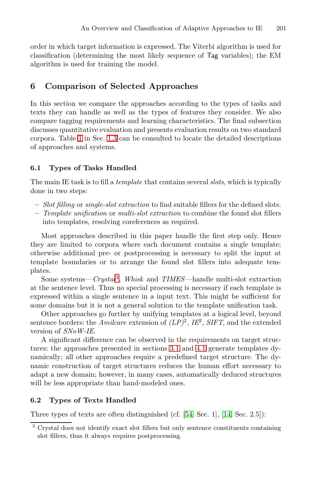<span id="page-29-0"></span>order in which target information is expressed. The Viterbi algorithm is used for classification (determining the most likely sequence of Tag variables); the EM algorithm is used for training the model.

# **6 Comparison of Selected Approaches**

In this section we compare the approaches according to the types of tasks and texts they can handle as well as the types of features they consider. We also compare tagging requirements and learning characteristics. The final subsection discusses quantitative evaluation and presents evaluation results on two standard corpora. Table 1 in Sec. 1.3 can be consulted to locate the detailed descriptions of approaches and systems.

### **6.1 Types of Tasks Handled**

The main IE task is to fill a *template* that contains several *slots*, which is typically done in two steps:

- **–** *Slot filling* or *single-slot extraction* to find suitable fillers for the defined slots.
- **–** *Te[mp](#page-29-1)late unification* or *multi-slot extraction* to combine the found slot fillers into templates, resolving coreferences as required.

Most approaches described in this paper handle the first step only. Hence they are limited to corpora where each document contains a single template; otherwise additional pre- or postprocessing is necessary to split the input at template boundaries or to arrange the found slot fillers into adequate templates.

Some systems—*Crystal*<sup>3</sup>, *Whisk* and *TIMES*—handle multi-slot extraction at the sentence level. Th[us n](#page-7-1)o sp[ecial](#page-18-1) processing is necessary if each template is expressed within a single sentence in a input text. This might be sufficient for some domains but it is not a general solution to the template unification task.

Other approaches go further by unifying templates at a logical level, beyond sentence borders: the *Amilcare* extension of *(LP)*<sup>2</sup>, *IE*<sup>2</sup>, *SIFT*, and the extended version of *SNoW-IE*.

A significant difference can be observed in the requirements on target structures: the approaches present[ed](#page-40-0) in sectio[ns 3](#page-38-11).1 and 4.1 generate templates dynamically; all other approaches require a predefined target structure. The dynamic construction of target structures reduces the human effort necessary to adapt a new domain; however, in many cases, automatically deduced structures will be less appropriate than hand-modeled ones.

# <span id="page-29-1"></span>**6.2 Types of Texts Handled**

Three types of texts are often distinguished (cf. [54, Sec. 1], [14, Sec. 2.5]):

<sup>3</sup> Crystal does not identify exact slot fillers but only sentence constituents containing slot fillers, thus it always requires postprocessing.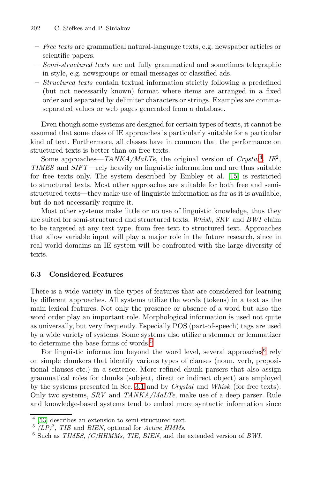- **–** *Free texts* are grammatical natural-language texts, e.g. newspaper articles or scientific papers.
- **–** *Semi-structured texts* are not fully grammatical and sometimes telegraphic in style, e.g. newsgroups or email messages or classified ads.
- **–** *Structured texts* contain textual information strictly following a predefined (but not necessarily known) format where items are arranged in a fixed order and separated by delimiter characters or stri[ng](#page-30-0)s. Examples are commaseparated values or web pages generate[d](#page-38-2) [fro](#page-38-2)m a database.

Even though some systems are designed for certain types of texts, it cannot be assumed that some class of IE approaches is particularly suitable for a particular kind of text. Furthermore, all classes have in common that the performance on structured texts is better than on free texts.

Some approaches—*TANKA/MaLTe*, the original version of  $Crystal<sup>4</sup>$ ,  $IE<sup>2</sup>$ , *TIMES* and *SIFT*—rely heavily on linguistic information and are thus suitable for free texts only. The system described by Embley et al. [15] is restricted to structured texts. Most other approaches are suitable for both free and semistructured texts—they make use of linguistic information as far as it is available, but do not necessarily require it.

Most other systems make little or no use of linguistic knowledge, thus they are suited for semi-structured and structured texts. *Whisk*, *SRV* and *BWI* claim to be targeted at any text type, from free text to structured text. Approaches that allow variable input will play a major role in the future research, since in real world domains an IE system will be confronted with the large diversity of texts.

# **6.3 Considere[d F](#page-30-1)eatures**

There is a wide variety in the types of features that a[re](#page-30-2) considered for learning by different approaches. All systems utilize the words (tokens) in a text as the main lexical features. Not only the presence or absence of a word but also the word order play an important role. Morphological information is used not quite as universally, [but](#page-7-1) very frequently. Especially POS (part-of-speech) tags are used by a wide variety of systems. Some systems also utilize a stemmer or lemmatizer to determine the base forms of words.<sup>5</sup>

<span id="page-30-2"></span><span id="page-30-1"></span><span id="page-30-0"></span>For linguistic information beyond the word level, several approaches  $6$  rely on simple chunkers that identify various types of clauses (noun, verb, prepositional clauses etc.) in a sentence. More refined chunk parsers that also assign grammatical roles for chunks (subject, direct or indirect object) are employed by the systems presented in Sec. 3.1 and by *Crystal* and *Whisk* (for free texts). Only two systems, *SRV* and *TANKA/MaLTe*, make use of a deep parser. Rule and knowledge-based systems tend to embed more syntactic information since

 $4$  [53] describes an extension to semi-structured text.

 $5(LP)^2$ , TIE and BIEN, optional for Active HMMs.

 $6$  Such as TIMES, (C)HHMMs, TIE, BIEN, and the extended version of BWI.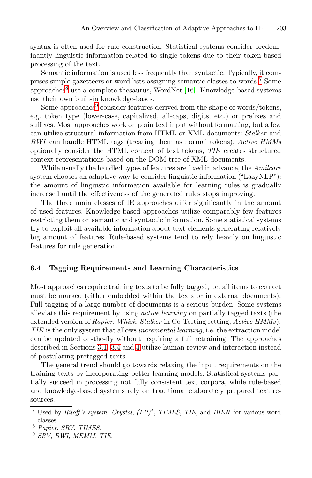s[yn](#page-31-0)tax is often used for rule construction. Statistical systems consider predominantly linguistic information related to single tokens due to their token-based processing of the text.

Semantic information is used less frequently than syntactic. Typically, it comprises simple gazetteers or word lists assigning semantic classes to words.<sup>7</sup> Some approaches<sup>8</sup> use a complete thesaurus, WordNet [16]. Knowledge-based systems use their own built-in knowledge-bases.

Some approaches<sup>9</sup> consider features derived from the shape of words/tokens, e.g. token type (lower-case, capitalized, all-caps, digits, etc.) or prefixes and suffixes. Most approaches work on plain text input without formatting, but a few can utilize structural information from HTML or XML documents: *Stalker* and *BWI* can handle HTML tags (treating them as normal tokens), *Active HMMs* optionally consider the HTML context of text tokens, *TIE* creates structured context representations based on the DOM tree of XML documents.

While usually the handled types of features are fixed in advance, the *Amilcare* system chooses an adaptive way to consider linguistic information ("LazyNLP"): the amount of linguistic information available for learning rules is gradually increased until the effectiveness of the generated rules stops improving.

The three main classes of IE approaches differ significantly in the amount of used features. Knowledge-based approaches utilize comparably few features restricting them on semantic and syntactic information. Some statistical systems try to exploit all available information about text elements generating relatively big amount of features. Rule-based systems tend to rely heavily on linguistic features for rule generation.

# **6.4 Tagging Requirements and Learning Characteristics**

M[ost](#page-7-1) [appr](#page-15-0)oac[hes](#page-18-2) require training texts to be fully tagged, i.e. all items to extract must be marked (either embedded within the texts or in external documents). Full tagging of a large number of documents is a serious burden. Some systems alleviate this requirement by using *active learning* on partially tagged texts (the extended version of *Rapier*, *Whisk*, *Stalker* in Co-Testing setting, *Active HMMs*). *TIE* is the only system that allows *incremental learning*, i.e. the extraction model can be updated on-the-fly without requiring a full retraining. The approaches described in Sections 3.1, 3.4 and 4 utilize human review and interaction instead of postulating pretagged texts.

<span id="page-31-0"></span>The general trend should go towards relaxing the input requirements on the training texts by incorporating better learning models. Statistical systems partially succeed in processing not fully consistent text corpora, while rule-based and knowledge-based systems rely on traditional elaborately prepared text resources.

Used by Riloff's system, Crystal,  $(LP)^2$ , TIMES, TIE, and BIEN for various word classes.

<sup>8</sup> Rapier, SRV, TIMES.

<sup>9</sup> SRV, BWI, MEMM, TIE.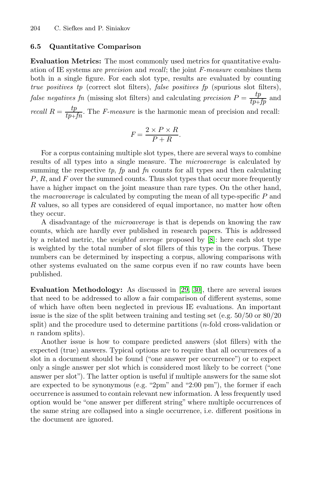### <span id="page-32-0"></span>**6.5 Quantitative Comparison**

**Evaluation Metrics:** The most commonly used metrics for quantitative evaluation of IE systems are *precision* and *recall*; the joint *F-measure* combines them both in a single figure. For each slot type, results are evaluated by counting *true positives tp* (correct slot filters), *false positives fp* (spurious slot filters), *false negatives fn* (missing slot filters) and calculating *precision*  $P = \frac{tp}{tp + fp}$  and *recall*  $R = \frac{tp}{tp + fn}$ . The *F-measure* is the harmonic mean of precision and recall:

$$
F = \frac{2 \times P \times R}{P + R}.
$$

For a corpus containing multiple slot types, there are several ways to combine results of all types into a single measure. The *microaverage* is calculated by summing the respective *tp*, *fp* and *fn* counts for all types and then calculating  $P, R$ , and  $F$  over the summed counts. [Th](#page-37-7)us slot types that occur more frequently have a higher impact on the joint measure than rare types. On the other hand, the *macroaverage* is calculated by computing the mean of all type-specific P and R values, so all types are considered of equal importance, no matter how often they occur.

A disadvantage of the *microaverage* is that is depends on knowing the raw counts, which are hardly ev[er](#page-39-13) [pub](#page-39-14)lished in research papers. This is addressed by a related metric, the *weighted average* proposed by [8]: here each slot type is weighted by the total number of slot fillers of this type in the corpus. These numbers can be determined by inspecting a corpus, allowing comparisons with other systems evaluated on the same corpus even if no raw counts have been published.

**Evaluation Methodology:** As discussed in [29, 30], there are several issues that need to be addressed to allow a fair comparison of different systems, some of which have often been neglected in previous IE evaluations. An important issue is the size of the split between training and testing set (e.g. 50/50 or 80/20 split) and the procedure used to determine partitions  $(n\text{-fold cross-validation or})$  $n$  random splits).

Another issue is how to compare predicted answers (slot fillers) with the expected (true) answers. Typical options are to require that all occurrences of a slot in a document should be found ("one answer per occurrence") or to expect only a single answer per slot which is considered most likely to be correct ("one answer per slot"). The latter option is useful if multiple answers for the same slot are expected to be synonymous (e.g. "2pm" and "2:00 pm"), the former if each occurrence is assumed to contain relevant new information. A less frequently used option would be "one answer per different string" where multiple occurrences of the same string are collapsed into a single occurrence, i.e. different positions in the document are ignored.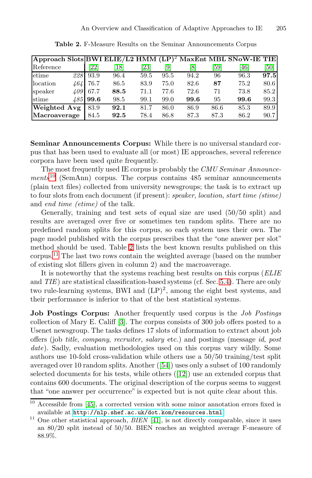<span id="page-33-0"></span>

| $ $ Approach Slots BWI ELIE/L2 HMM $(IP)^2$ MaxEnt MBL SNoW-IE TIE |     |                    |      |      |      |                   |      |      |      |
|--------------------------------------------------------------------|-----|--------------------|------|------|------|-------------------|------|------|------|
| Reference                                                          |     | [22]               | 18   | [23] | 9    | $\lvert 8 \rvert$ | [59] | [46] | [50] |
| etime                                                              | 228 | 93.9               | 96.4 | 59.5 | 95.5 | 94.2              | 96   | 96.3 | 97.5 |
| location                                                           | 464 | 76.7               | 86.5 | 83.9 | 75.0 | 82.6              | 87   | 75.2 | 80.6 |
| speaker                                                            |     | 409 67.7           | 88.5 | 71.1 | 77.6 | 72.6              | 71   | 73.8 | 85.2 |
| stime                                                              |     | $\frac{185}{99.6}$ | 98.5 | 99.1 | 99.0 | 99.6              | 95   | 99.6 | 99.3 |
| <b>Weighted Avg</b>                                                |     | 83.9               | 92.1 | 81.7 | 86.0 | 86.9              | 86.6 | 85.3 | 89.9 |
| Macroaverage                                                       |     | 84.5               | 92.5 | 78.4 | 86.8 | 87.3              | 87.3 | 86.2 | 90.7 |

**Table 2.** F-Measure Results on the Seminar Announcements Corpus

**Seminar Announcements Corpus:** While there is no universal standard corpus that has been used to evaluate all (or most) IE approaches, several reference corpora have been used quite frequently.

The most frequently used IE corpus is probably the *CMU Seminar Announcements*<sup>10</sup> (SemAnn) corpus. The corpus contains 485 seminar announcements (plain text [file](#page-33-0)s) collected from university newsgroups; the task is to extract up to four slots from each document (if present): *speaker*, *location*, *start time (stime)* and *end time (etime)* of the talk.

Generally, training and test sets of equal size are used (50/50 split) and results are averaged over five or somet[imes](#page-26-0) ten random splits. There are no predefined random splits for this corpus, so each system uses their own. The page model published with the corpus prescribes that the "one answer per slot" method should be used. Table 2 lists the best known results published on this corpus.<sup>11</sup> The last two rows contain the weighted average (based on the number of existi[ng](#page-37-8) slot fillers given in column 2) and the macroaverage.

It is noteworthy that the systems reaching best results on this corpus (*ELIE* and *TIE*) are statistical classification-based systems (cf. Sec. 5.4). There are only two rule-learning systems, BWI and  $(LP)^2$ , among the eight best systems, and their performance is i[nfer](#page-40-0)ior to that of the best statistical systems.

**Job Postings Corpus:** [Ano](#page-38-13)ther frequently used corpus is the *Job Postings* collection of Mary E. Califf [3]. The corpus consists of 300 job offers posted to a Usenet newsgroup. The tasks defines 17 slots of information to extract about job [off](#page-39-15)ers (job *title*, *company*, *recruiter*, *salary* etc.) and postings (message *id*, *post date*[\). Sadly, evaluation methodologies use](http://nlp.shef.ac.uk/dot.kom/resources.html)d on this corpus vary wildly. Some authors use 10-fold [cro](#page-39-3)ss-validation while others use a 50/50 training/test split averaged over 10 random splits. Another ([54]) uses only a subset of 100 randomly selected documents for his tests, while others ([12]) use an extended corpus that contains 600 documents. The original description of the corpus seems to suggest that "one answer per occurrence" is expected but is not quite clear about this.

 $\frac{10}{10}$  Accessible from [45], a corrected version with some minor annotation errors fixed is available at http://nlp.shef.ac.uk/dot.kom/resources.html.

<sup>&</sup>lt;sup>11</sup> One other statistical approach, *BIEN* [41], is not directly comparable, since it uses an 80/20 split instead of 50/50. BIEN reaches an weighted average F-measure of 88.9%.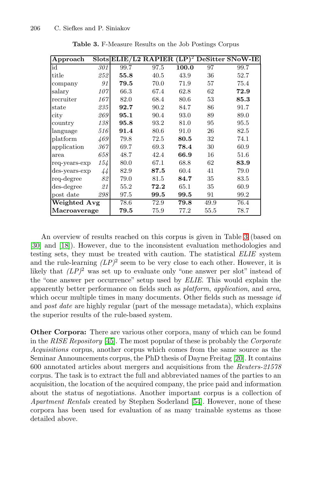<span id="page-34-0"></span>

| Approach      |     |      |      |       |      | $S_{\text{dots}}/L2$ RAPIER $(LP)^2$ Desitter SNoW-IE |
|---------------|-----|------|------|-------|------|-------------------------------------------------------|
| id            | 301 | 99.7 | 97.5 | 100.0 | 97   | 99.7                                                  |
| title         | 252 | 55.8 | 40.5 | 43.9  | 36   | 52.7                                                  |
| company       | 91  | 79.5 | 70.0 | 71.9  | 57   | 75.4                                                  |
| salary        | 107 | 66.3 | 67.4 | 62.8  | 62   | 72.9                                                  |
| recruiter     | 167 | 82.0 | 68.4 | 80.6  | 53   | 85.3                                                  |
| state         | 235 | 92.7 | 90.2 | 84.7  | 86   | 91.7                                                  |
| city          | 269 | 95.1 | 90.4 | 93.0  | 89   | 89.0                                                  |
| country       | 138 | 95.8 | 93.2 | 81.0  | 95   | 95.5                                                  |
| language      | 516 | 91.4 | 80.6 | 91.0  | 26   | 82.5                                                  |
| platform      | 469 | 79.8 | 72.5 | 80.5  | 32   | 74.1                                                  |
| application   | 367 | 69.7 | 69.3 | 78.4  | 30   | 60.9                                                  |
| area          | 658 | 48.7 | 42.4 | 66.9  | 16   | 51.6                                                  |
| req-years-exp | 154 | 80.0 | 67.1 | 68.8  | 62   | 83.9                                                  |
| des-years-exp | 44  | 82.9 | 87.5 | 60.4  | 41   | 79.0                                                  |
| req-degree    | 82  | 79.0 | 81.5 | 84.7  | 35   | 83.5                                                  |
| des-degree    | 21  | 55.2 | 72.2 | 65.1  | 35   | 60.9                                                  |
| post date     | 298 | 97.5 | 99.5 | 99.5  | 91   | 99.2                                                  |
| Weighted Avg  |     | 78.6 | 72.9 | 79.8  | 49.9 | 76.4                                                  |
| Macroaverage  |     | 79.5 | 75.9 | 77.2  | 55.5 | 78.7                                                  |

**Table 3.** F-Measure Results on the Job Postings Corpus

An overview of results reached on this corpus is given in Table 3 (based on [30] and [18]). However, due to the inconsistent evaluation methodologies and testing sets, they must be treated with caution. The statistical *ELIE* system and the rule-learning  $(LP)^2$  seem to be very close to each other. However, it is likely that  $(LP)^2$  was set up to evaluate only "one answer per slot" instead of the ["one](#page-39-15) answer per occurrence" setup used by *ELIE*. This would explain the apparently better performance on fields such as *platform*, *application*, and *area*, which occur multiple times in many documen[ts. O](#page-38-14)ther fields such as message *id* and *post date* are highly regular (part of the message metadata), which explains the superior results of the rule-based system.

**Other Corpora:** There are various other corpora, many of which can be found in the *RISE Repository* [45]. The [mo](#page-40-0)st popular of these is probably the *Corporate Acquisitions* corpus, another corpus which comes from the same source as the Seminar Announcements corpus, the PhD thesis of Dayne Freitag [20]. It contains 600 annotated articles about mergers and acquisitions from the *Reuters-21578* corpus. The task is to extract the full and abbreviated names of the parties to an acquisition, the location of the acquired company, the price paid and information about the status of negotiations. Another important corpus is a collection of *Apartment Rentals* created by Stephen Soderland [54]. However, none of these corpora has been used for evaluation of as many trainable systems as those detailed above.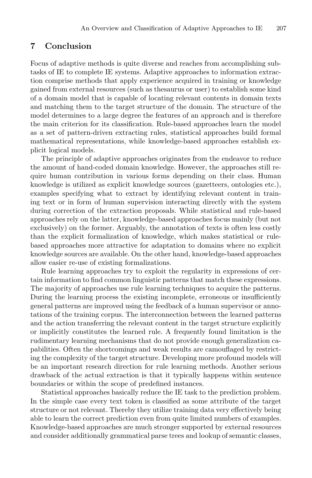# **7 Conclusion**

Focus of adaptive methods is quite diverse and reaches from accomplishing subtasks of IE to complete IE systems. Adaptive approaches to information extraction comprise methods that apply experience acquired in training or knowledge gained from external resources (such as thesaurus or user) to establish some kind of a domain model that is capable of locating relevant contents in domain texts and matching them to the target structure of the domain. The structure of the model determines to a large degree the features of an approach and is therefore the main criterion for its classification. Rule-based approaches learn the model as a set of pattern-driven extracting rules, statistical approaches build formal mathematical representations, while knowledge-based approaches establish explicit logical models.

The principle of adaptive approaches originates from the endeavor to reduce the amount of hand-coded domain knowledge. However, the approaches still require human contribution in various forms depending on their class. Human knowledge is utilized as explicit knowledge sources (gazetteers, ontologies etc.), examples specifying what to extract by identifying relevant content in training text or in form of human supervision interacting directly with the system during correction of the extraction proposals. While statistical and rule-based approaches rely on the latter, knowledge-based approaches focus mainly (but not exclusively) on the former. Arguably, the annotation of texts is often less costly than the explicit formalization of knowledge, which makes statistical or rulebased approaches more attractive for adaptation to domains where no explicit knowledge sources are available. On the other hand, knowledge-based approaches allow easier re-use of existing formalizations.

Rule learning approaches try to exploit the regularity in expressions of certain information to find common linguistic patterns that match these expressions. The majority of approaches use rule learning techniques to acquire the patterns. During the learning process the existing incomplete, erroneous or insufficiently general patterns are improved using the feedback of a human supervisor or annotations of the training corpus. The interconnection between the learned patterns and the action transferring the relevant content in the target structure explicitly or implicitly constitutes the learned rule. A frequently found limitation is the rudimentary learning mechanisms that do not provide enough generalization capabilities. Often the shortcomings and weak results are camouflaged by restricting the complexity of the target structure. Developing more profound models will be an important research direction for rule learning methods. Another serious drawback of the actual extraction is that it typically happens within sentence boundaries or within the scope of predefined instances.

Statistical approaches basically reduce the IE task to the prediction problem. In the simple case every text token is classified as some attribute of the target structure or not relevant. Thereby they utilize training data very effectively being able to learn the correct prediction even from quite limited numbers of examples. Knowledge-based approaches are much stronger supported by external resources and consider additionally grammatical parse trees and lookup of semantic classes,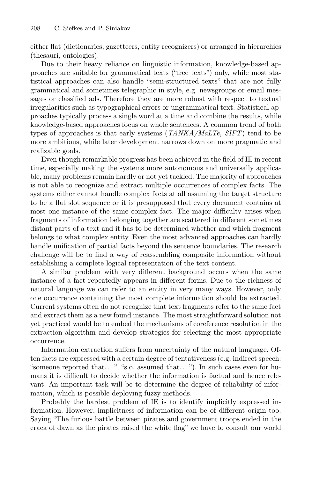either flat (dictionaries, gazetteers, entity recognizers) or arranged in hierarchies (thesauri, ontologies).

Due to their heavy reliance on linguistic information, knowledge-based approaches are suitable for grammatical texts ("free texts") only, while most statistical approaches can also handle "semi-structured texts" that are not fully grammatical and sometimes telegraphic in style, e.g. newsgroups or email messages or classified ads. Therefore they are more robust with respect to textual irregularities such as typographical errors or ungrammatical text. Statistical approaches typically process a single word at a time and combine the results, while knowledge-based approaches focus on whole sentences. A common trend of both types of approaches is that early systems (*TANKA/MaLTe*, *SIFT*) tend to be more ambitious, while later development narrows down on more pragmatic and realizable goals.

Even though remarkable progress has been achieved in the field of IE in recent time, especially making the systems more autonomous and universally applicable, many problems remain hardly or not yet tackled. The majority of approaches is not able to recognize and extract multiple occurrences of complex facts. The systems either cannot handle complex facts at all assuming the target structure to be a flat slot sequence or it is presupposed that every document contains at most one instance of the same complex fact. The major difficulty arises when fragments of information belonging together are scattered in different sometimes distant parts of a text and it has to be determined whether and which fragment belongs to what complex entity. Even the most advanced approaches can hardly handle unification of partial facts beyond the sentence boundaries. The research challenge will be to find a way of reassembling composite information without establishing a complete logical representation of the text content.

A similar problem with very different background occurs when the same instance of a fact repeatedly appears in different forms. Due to the richness of natural language we can refer to an entity in very many ways. However, only one occurrence containing the most complete information should be extracted. Current systems often do not recognize that text fragments refer to the same fact and extract them as a new found instance. The most straightforward solution not yet practiced would be to embed the mechanisms of coreference resolution in the extraction algorithm and develop strategies for selecting the most appropriate occurrence.

Information extraction suffers from uncertainty of the natural language. Often facts are expressed with a certain degree of tentativeness (e.g. indirect speech: "someone reported that...", "s.o. assumed that..."). In such cases even for humans it is difficult to decide whether the information is factual and hence relevant. An important task will be to determine the degree of reliability of information, which is possible deploying fuzzy methods.

Probably the hardest problem of IE is to identify implicitly expressed information. However, implicitness of information can be of different origin too. Saying "The furious battle between pirates and government troops ended in the crack of dawn as the pirates raised the white flag" we have to consult our world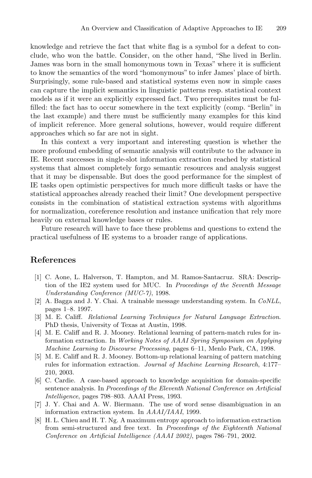knowledge and retrieve the fact that white flag is a symbol for a defeat to conclude, who won the battle. Consider, on the other hand, "She lived in Berlin. James was born in the small homonymous town in Texas" where it is sufficient to know the semantics of the word "homonymous" to infer James' place of birth. Surprisingly, some rule-based and statistical systems even now in simple cases can capture the implicit semantics in linguistic patterns resp. statistical context models as if it were an explicitly expressed fact. Two prerequisites must be fulfilled: the fact has to occur somewhere in the text explicitly (comp. "Berlin" in the last example) and there must be sufficiently many examples for this kind of implicit reference. More general solutions, however, would require different approaches which so far are not in sight.

In this context a very important and interesting question is whether the more profound embedding of semantic analysis will contribute to the advance in IE. Recent successes in single-slot information extraction reached by statistical systems that almost completely forgo semantic resources and analysis suggest that it may be dispensable. But does the good performance for the simplest of IE tasks open optimistic perspectives for much more difficult tasks or have the statistical approaches already reached their limit? One development perspective consists in the combination of statistical extraction systems with algorithms for normalization, coreference resolution and instance unification that rely more heavily on external knowledge bases or rules.

Future research will have to face these problems and questions to extend the practical usefulness of IE systems to a broader range of applications.

# <span id="page-37-2"></span><span id="page-37-0"></span>**References**

- [1] C. Aone, L. Halverson, T. Hampton, and M. Ramos-Santacruz. SRA: Description of the IE2 system used for MUC. In Proceedings of the Seventh Message Understanding Conference (MUC-7), 1998.
- <span id="page-37-5"></span>[2] A. Bagga and J. Y. Chai. A trainable message understanding system. In CoNLL, pages 1–8. 1997.
- <span id="page-37-8"></span>[3] M. E. Califf. Relational Learning Techniques for Natural Language Extraction. PhD thesis, University of Texas at Austin, 1998.
- <span id="page-37-3"></span>[4] M. E. Califf and R. J. Mooney. Relational learning of pattern-match rules for information extraction. In Working Notes of AAAI Spring Symposium on Applying Machine Learning to Discourse Processing, pages 6–11, Menlo Park, CA, 1998.
- <span id="page-37-4"></span>[5] M. E. Califf and R. J. Mooney. Bottom-up relational learning of pattern matching rules for information extraction. Journal of Machine Learning Research, 4:177– 210, 2003.
- <span id="page-37-1"></span>[6] C. Cardie. A case-based approach to knowledge acquisition for domain-specific sentence analysis. In Proceedings of the Eleventh National Conference on Artificial Intelligence, pages 798–803. AAAI Press, 1993.
- <span id="page-37-7"></span><span id="page-37-6"></span>[7] J. Y. Chai and A. W. Biermann. The use of word sense disambiguation in an information extraction system. In AAAI/IAAI, 1999.
- [8] H. L. Chieu and H. T. Ng. A maximum entropy approach to information extraction from semi-structured and free text. In Proceedings of the Eighteenth National Conference on Artificial Intelligence (AAAI 2002), pages 786–791, 2002.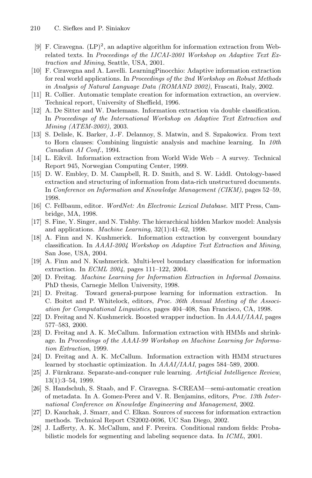- [9] F. Ciravegna.  $(LP)^2$ , an adaptive algorithm for information extraction from Webrelated texts. In Proceedings of the IJCAI-2001 Workshop on Adaptive Text Extraction and Mining, Seattle, USA, 2001.
- [10] F. Ciravegna and A. Lavelli. LearningPinocchio: Adaptive information extraction for real world applications. In Proceedings of the 2nd Workshop on Robust Methods in Analysis of Natural Language Data (ROMAND 2002), Frascati, Italy, 2002.
- <span id="page-38-13"></span><span id="page-38-8"></span>[11] R. Collier. Automatic template creation for information extraction, an overview. Technical report, University of Sheffield, 1996.
- [12] A. De Sitter and W. Daelemans. Information extraction via double classification. In Proceedings of the International Workshop on Adaptive Text Extraction and Mining (ATEM-2003), 2003.
- <span id="page-38-10"></span>[13] S. Delisle, K. Barker, J.-F. Delannoy, S. Matwin, and S. Szpakowicz. From text to Horn clauses: Combining linguistic analysis and machine learning. In 10th Canadian AI Conf., 1994.
- <span id="page-38-11"></span><span id="page-38-2"></span>[14] L. Eikvil. Information extraction from World Wide Web – A survey. Technical Report 945, Norwegian Computing Center, 1999.
- [15] D. W. Embley, D. M. Campbell, R. D. Smith, and S. W. Liddl. Ontology-based extraction and structuring of information from data-rich unstructured documents. In Conference on Information and Knowledge Management (CIKM), pages 52–59, 1998.
- <span id="page-38-12"></span>[16] C. Fellbaum, editor. WordNet: An Electronic Lexical Database. MIT Press, Cambridge, MA, 1998.
- [17] S. Fine, Y. Singer, and N. Tishby. The hierarchical hidden Markov model: Analysis and applications. Machine Learning, 32(1):41–62, 1998.
- <span id="page-38-6"></span>[18] A. Finn and N. Kushmerick. Information extraction by convergent boundary classification. In AAAI-2004 Workshop on Adaptive Text Extraction and Mining, San Jose, USA, 2004.
- <span id="page-38-7"></span>[19] A. Finn and N. Kushmerick. Multi-level boundary classification for information extraction. In ECML 2004, pages 111–122, 2004.
- <span id="page-38-14"></span>[20] D. Freitag. Machine Learning for Information Extraction in Informal Domains. PhD thesis, Carnegie Mellon University, 1998.
- <span id="page-38-0"></span>[21] D. Freitag. Toward general-purpose learning for information extraction. In C. Boitet and P. Whitelock, editors, Proc. 36th Annual Meeting of the Association for Computational Linguistics, pages 404–408, San Francisco, CA, 1998.
- <span id="page-38-1"></span>[22] D. Freitag and N. Kushmerick. Boosted wrapper induction. In AAAI/IAAI, pages 577–583, 2000.
- <span id="page-38-3"></span>[23] D. Freitag and A. K. McCallum. Information extraction with HMMs and shrinkage. In Proceedings of the AAAI-99 Workshop on Machine Learning for Information Extraction, 1999.
- <span id="page-38-4"></span>[24] D. Freitag and A. K. McCallum. Information extraction with HMM structures learned by stochastic optimization. In AAAI/IAAI, pages 584–589, 2000.
- [25] J. Fürnkranz. Separate-and-conquer rule learning. Artificial Intelligence Review, 13(1):3–54, 1999.
- [26] S. Handschuh, S. Staab, and F. Ciravegna. S-CREAM—semi-automatic creation of metadata. In A. Gomez-Perez and V. R. Benjamins, editors, Proc. 13th International Conference on Knowledge Engineering and Management, 2002.
- <span id="page-38-9"></span>[27] D. Kauchak, J. Smarr, and C. Elkan. Sources of success for information extraction methods. Technical Report CS2002-0696, UC San Diego, 2002.
- <span id="page-38-5"></span>[28] J. Lafferty, A. K. McCallum, and F. Pereira. Conditional random fields: Probabilistic models for segmenting and labeling sequence data. In ICML, 2001.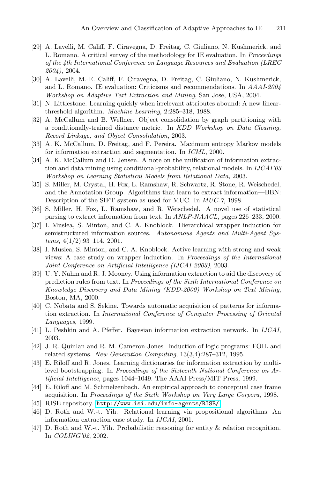- <span id="page-39-14"></span><span id="page-39-13"></span><span id="page-39-10"></span><span id="page-39-9"></span>[29] A. Lavelli, M. Califf, F. Ciravegna, D. Freitag, C. Giuliano, N. Kushmerick, and L. Romano. A critical survey of the methodology for IE evaluation. In Proceedings of the 4th International Conference on Language Resources and Evaluation (LREC 2004), 2004.
- <span id="page-39-8"></span>[30] A. Lavelli, M.-E. Califf, F. Ciravegna, D. Freitag, C. Giuliano, N. Kushmerick, and L. Romano. IE evaluation: Criticisms and recommendations. In AAAI-2004 Workshop on Adaptive Text Extraction and Mining, San Jose, USA, 2004.
- [31] N. Littlestone. Learning quickly when irrelevant attributes abound: A new linearthreshold algorithm. Machine Learning, 2:285–318, 1988.
- <span id="page-39-1"></span>[32] A. McCallum and B. Wellner. Object consolidation by graph partitioning with a conditionally-trained distance metric. In KDD Workshop on Data Cleaning, Record Linkage, and Object Consolidation, 2003.
- <span id="page-39-2"></span>[33] A. K. McCallum, D. Freitag, and F. Pereira. Maximum entropy Markov models for information extraction and segmentation. In ICML, 2000.
- <span id="page-39-7"></span>[34] A. K. McCallum and D. Jensen. A note on the unification of information extraction and data mining using conditional-probability, relational models. In IJCAI'03 Workshop on Learning Statistical Models from Relational Data, 2003.
- [35] S. Miller, M. Crystal, H. Fox, L. Ramshaw, R. Schwartz, R. Stone, R. Weischedel, and the Annotation Group. Algorithms that learn to extract information—BBN: Description of the SIFT system as used for MUC. In MUC-7, 1998.
- [36] S. Miller, H. Fox, L. Ramshaw, and R. Weischedel. A novel use of statistical parsing to extract information from text. In ANLP-NAACL, pages 226–233, 2000.
- <span id="page-39-4"></span>[37] I. Muslea, S. Minton, and C. A. Knoblock. Hierarchical wrapper induction for semistructured information sources. Autonomous Agents and Multi-Agent Sys $tems, 4(1/2):93-114, 2001.$
- <span id="page-39-3"></span>[38] I. Muslea, S. Minton, and C. A. Knoblock. Active learning with strong and weak views: A case study on wrapper induction. In Proceedings of the International Joint Conference on Artificial Intelligence (IJCAI 2003), 2003.
- <span id="page-39-6"></span>[39] U. Y. Nahm and R. J. Mooney. Using information extraction to aid the discovery of prediction rules from text. In Proceedings of the Sixth International Conference on Knowledge Discovery and Data Mining (KDD-2000) Workshop on Text Mining, Boston, MA, 2000.
- <span id="page-39-5"></span>[40] C. Nobata and S. Sekine. Towards automatic acquisition of patterns for information extraction. In International Conference of Computer Processing of Oriental Languages, 1999.
- <span id="page-39-15"></span><span id="page-39-0"></span>[41] L. Peshkin and A. Pfeffer. Bayesian information extraction network. In IJCAI, 2003.
- <span id="page-39-11"></span>[[42\]](http://www.isi.edu/info-agents/RISE/) [J.](http://www.isi.edu/info-agents/RISE/) [R.](http://www.isi.edu/info-agents/RISE/) [Quinlan](http://www.isi.edu/info-agents/RISE/) [and](http://www.isi.edu/info-agents/RISE/) [R.](http://www.isi.edu/info-agents/RISE/) [M.](http://www.isi.edu/info-agents/RISE/) [Cameron-Jone](http://www.isi.edu/info-agents/RISE/)s. Induction of logic programs: FOIL and related systems. New Generation Computing, 13(3,4):287–312, 1995.
- <span id="page-39-12"></span>[43] E. Riloff and R. Jones. Learning dictionaries for information extraction by multilevel bootstrapping. In Proceedings of the Sixteenth National Conference on Artificial Intelligence, pages 1044–1049. The AAAI Press/MIT Press, 1999.
- [44] E. Riloff and M. Schmelzenbach. An empirical approach to conceptual case frame acquisition. In Proceedings of the Sixth Workshop on Very Large Corpora, 1998.
- [45] RISE repository. http://www.isi.edu/info-agents/RISE/.
- [46] D. Roth and W.-t. Yih. Relational learning via propositional algorithms: An information extraction case study. In IJCAI, 2001.
- [47] D. Roth and W.-t. Yih. Probabilistic reasoning for entity & relation recognition. In COLING'02, 2002.